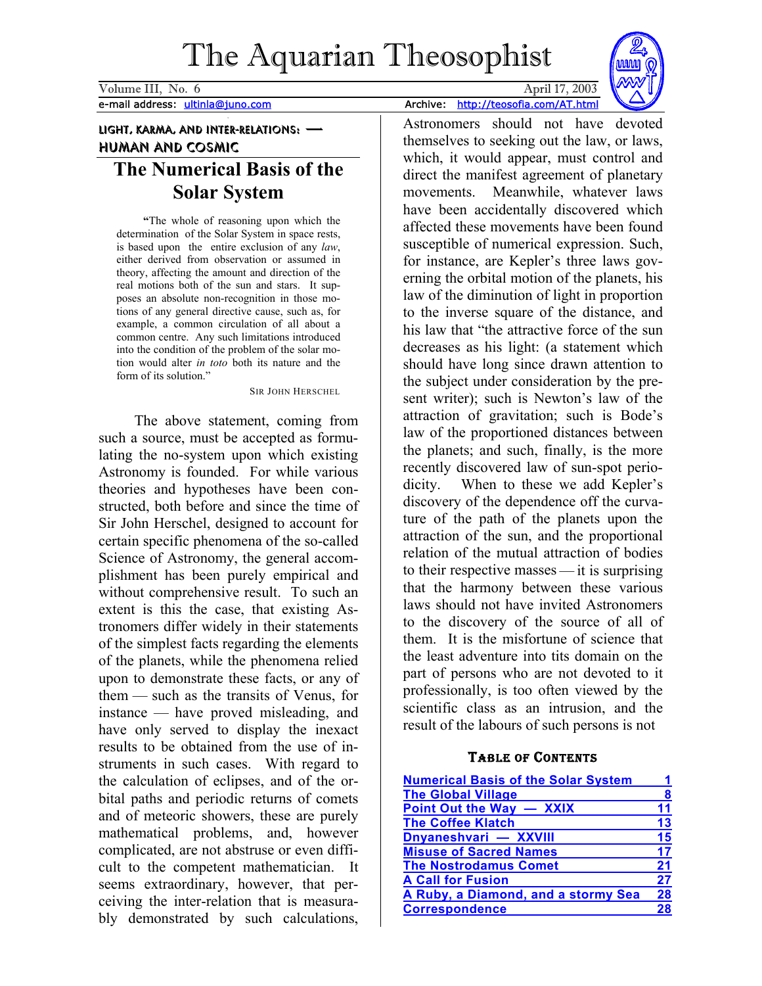<span id="page-0-0"></span>Volume III, No. 6 April 17, 2003 e-mail address: ultinla@juno.com Archive: http://teosofia.com/AT.html



## Light, Karma, and Inter-relations: — Human and Cosmic

# **The Numerical Basis of the Solar System**

**"**The whole of reasoning upon which the determination of the Solar System in space rests, is based upon the entire exclusion of any *law*, either derived from observation or assumed in theory, affecting the amount and direction of the real motions both of the sun and stars. It supposes an absolute non-recognition in those motions of any general directive cause, such as, for example, a common circulation of all about a common centre. Any such limitations introduced into the condition of the problem of the solar motion would alter *in toto* both its nature and the form of its solution."

SIR JOHN HERSCHEL

The above statement, coming from such a source, must be accepted as formulating the no-system upon which existing Astronomy is founded. For while various theories and hypotheses have been constructed, both before and since the time of Sir John Herschel, designed to account for certain specific phenomena of the so-called Science of Astronomy, the general accomplishment has been purely empirical and without comprehensive result. To such an extent is this the case, that existing Astronomers differ widely in their statements of the simplest facts regarding the elements of the planets, while the phenomena relied upon to demonstrate these facts, or any of them — such as the transits of Venus, for instance — have proved misleading, and have only served to display the inexact results to be obtained from the use of instruments in such cases. With regard to the calculation of eclipses, and of the orbital paths and periodic returns of comets and of meteoric showers, these are purely mathematical problems, and, however complicated, are not abstruse or even difficult to the competent mathematician. It seems extraordinary, however, that perceiving the inter-relation that is measurably demonstrated by such calculations,

Astronomers should not have devoted themselves to seeking out the law, or laws, which, it would appear, must control and direct the manifest agreement of planetary movements. Meanwhile, whatever laws have been accidentally discovered which affected these movements have been found susceptible of numerical expression. Such, for instance, are Kepler's three laws governing the orbital motion of the planets, his law of the diminution of light in proportion to the inverse square of the distance, and his law that "the attractive force of the sun decreases as his light: (a statement which should have long since drawn attention to the subject under consideration by the present writer); such is Newton's law of the attraction of gravitation; such is Bode's law of the proportioned distances between the planets; and such, finally, is the more recently discovered law of sun-spot periodicity. When to these we add Kepler's discovery of the dependence off the curvature of the path of the planets upon the attraction of the sun, and the proportional relation of the mutual attraction of bodies to their respective masses — it is surprising that the harmony between these various laws should not have invited Astronomers to the discovery of the source of all of them. It is the misfortune of science that the least adventure into tits domain on the part of persons who are not devoted to it professionally, is too often viewed by the scientific class as an intrusion, and the result of the labours of such persons is not

## TABLE OF CONTENTS

| <b>Numerical Basis of the Solar System</b> |    |
|--------------------------------------------|----|
| <b>The Global Village</b>                  | 8  |
| Point Out the Way - XXIX                   | 11 |
| <b>The Coffee Klatch</b>                   | 13 |
| Dnyaneshvari - XXVIII                      | 15 |
| <b>Misuse of Sacred Names</b>              | 17 |
| <b>The Nostrodamus Comet</b>               | 21 |
| <b>A Call for Fusion</b>                   | 27 |
| A Ruby, a Diamond, and a stormy Sea        | 28 |
| <b>Correspondence</b>                      | 28 |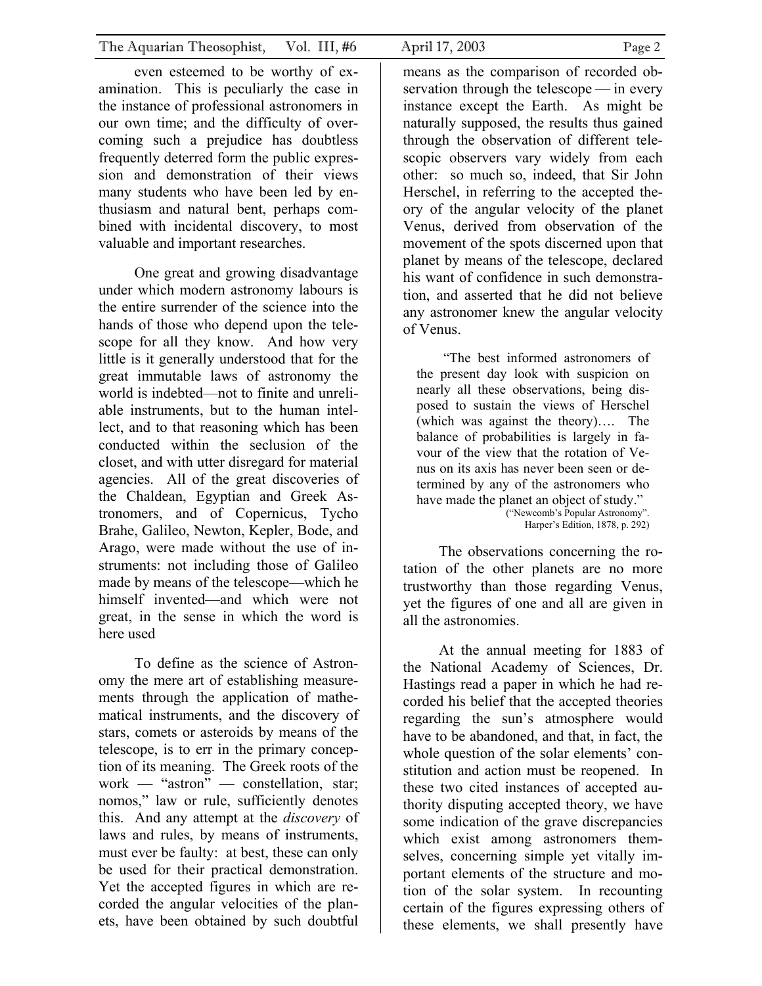even esteemed to be worthy of examination. This is peculiarly the case in the instance of professional astronomers in our own time; and the difficulty of overcoming such a prejudice has doubtless frequently deterred form the public expression and demonstration of their views many students who have been led by enthusiasm and natural bent, perhaps combined with incidental discovery, to most valuable and important researches.

One great and growing disadvantage under which modern astronomy labours is the entire surrender of the science into the hands of those who depend upon the telescope for all they know. And how very little is it generally understood that for the great immutable laws of astronomy the world is indebted—not to finite and unreliable instruments, but to the human intellect, and to that reasoning which has been conducted within the seclusion of the closet, and with utter disregard for material agencies. All of the great discoveries of the Chaldean, Egyptian and Greek Astronomers, and of Copernicus, Tycho Brahe, Galileo, Newton, Kepler, Bode, and Arago, were made without the use of instruments: not including those of Galileo made by means of the telescope—which he himself invented—and which were not great, in the sense in which the word is here used

To define as the science of Astronomy the mere art of establishing measurements through the application of mathematical instruments, and the discovery of stars, comets or asteroids by means of the telescope, is to err in the primary conception of its meaning. The Greek roots of the work — "astron" — constellation, star; nomos," law or rule, sufficiently denotes this. And any attempt at the *discovery* of laws and rules, by means of instruments, must ever be faulty: at best, these can only be used for their practical demonstration. Yet the accepted figures in which are recorded the angular velocities of the planets, have been obtained by such doubtful

means as the comparison of recorded observation through the telescope — in every instance except the Earth. As might be naturally supposed, the results thus gained through the observation of different telescopic observers vary widely from each other: so much so, indeed, that Sir John Herschel, in referring to the accepted theory of the angular velocity of the planet Venus, derived from observation of the movement of the spots discerned upon that planet by means of the telescope, declared his want of confidence in such demonstration, and asserted that he did not believe any astronomer knew the angular velocity of Venus.

"The best informed astronomers of the present day look with suspicion on nearly all these observations, being disposed to sustain the views of Herschel (which was against the theory)…. The balance of probabilities is largely in favour of the view that the rotation of Venus on its axis has never been seen or determined by any of the astronomers who have made the planet an object of study." ("Newcomb's Popular Astronomy". Harper's Edition, 1878, p. 292)

The observations concerning the rotation of the other planets are no more trustworthy than those regarding Venus, yet the figures of one and all are given in all the astronomies.

At the annual meeting for 1883 of the National Academy of Sciences, Dr. Hastings read a paper in which he had recorded his belief that the accepted theories regarding the sun's atmosphere would have to be abandoned, and that, in fact, the whole question of the solar elements' constitution and action must be reopened. In these two cited instances of accepted authority disputing accepted theory, we have some indication of the grave discrepancies which exist among astronomers themselves, concerning simple yet vitally important elements of the structure and motion of the solar system. In recounting certain of the figures expressing others of these elements, we shall presently have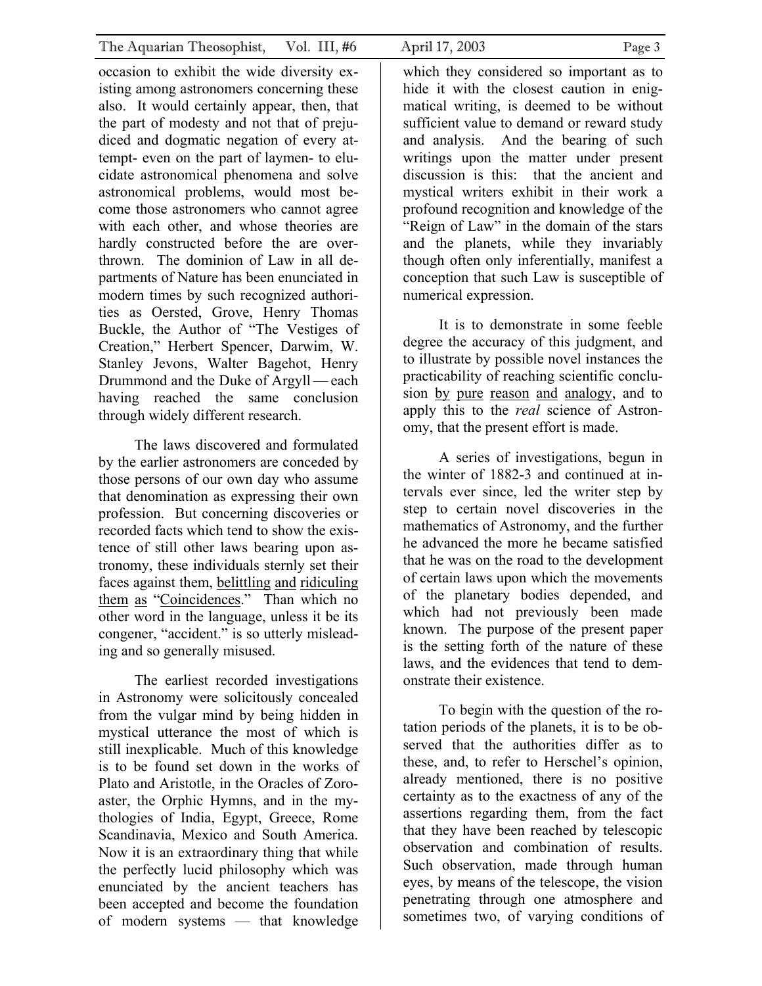occasion to exhibit the wide diversity existing among astronomers concerning these also. It would certainly appear, then, that the part of modesty and not that of prejudiced and dogmatic negation of every attempt- even on the part of laymen- to elucidate astronomical phenomena and solve astronomical problems, would most become those astronomers who cannot agree with each other, and whose theories are hardly constructed before the are overthrown. The dominion of Law in all departments of Nature has been enunciated in modern times by such recognized authorities as Oersted, Grove, Henry Thomas Buckle, the Author of "The Vestiges of Creation," Herbert Spencer, Darwim, W. Stanley Jevons, Walter Bagehot, Henry Drummond and the Duke of Argyll — each having reached the same conclusion through widely different research.

The laws discovered and formulated by the earlier astronomers are conceded by those persons of our own day who assume that denomination as expressing their own profession. But concerning discoveries or recorded facts which tend to show the existence of still other laws bearing upon astronomy, these individuals sternly set their faces against them, belittling and ridiculing them as "Coincidences." Than which no other word in the language, unless it be its congener, "accident." is so utterly misleading and so generally misused.

The earliest recorded investigations in Astronomy were solicitously concealed from the vulgar mind by being hidden in mystical utterance the most of which is still inexplicable. Much of this knowledge is to be found set down in the works of Plato and Aristotle, in the Oracles of Zoroaster, the Orphic Hymns, and in the mythologies of India, Egypt, Greece, Rome Scandinavia, Mexico and South America. Now it is an extraordinary thing that while the perfectly lucid philosophy which was enunciated by the ancient teachers has been accepted and become the foundation of modern systems — that knowledge

which they considered so important as to hide it with the closest caution in enigmatical writing, is deemed to be without sufficient value to demand or reward study and analysis. And the bearing of such writings upon the matter under present discussion is this: that the ancient and mystical writers exhibit in their work a profound recognition and knowledge of the "Reign of Law" in the domain of the stars and the planets, while they invariably though often only inferentially, manifest a conception that such Law is susceptible of numerical expression.

It is to demonstrate in some feeble degree the accuracy of this judgment, and to illustrate by possible novel instances the practicability of reaching scientific conclusion by pure reason and analogy, and to apply this to the *real* science of Astronomy, that the present effort is made.

A series of investigations, begun in the winter of 1882-3 and continued at intervals ever since, led the writer step by step to certain novel discoveries in the mathematics of Astronomy, and the further he advanced the more he became satisfied that he was on the road to the development of certain laws upon which the movements of the planetary bodies depended, and which had not previously been made known. The purpose of the present paper is the setting forth of the nature of these laws, and the evidences that tend to demonstrate their existence.

To begin with the question of the rotation periods of the planets, it is to be observed that the authorities differ as to these, and, to refer to Herschel's opinion, already mentioned, there is no positive certainty as to the exactness of any of the assertions regarding them, from the fact that they have been reached by telescopic observation and combination of results. Such observation, made through human eyes, by means of the telescope, the vision penetrating through one atmosphere and sometimes two, of varying conditions of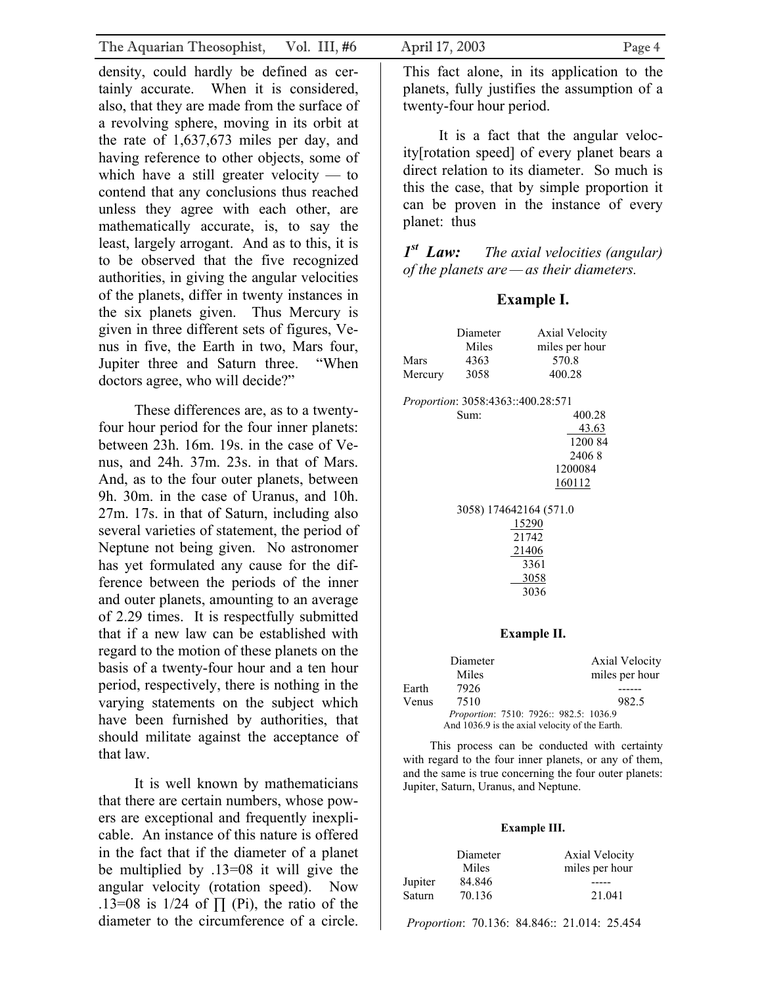| The Aquarian Theosophist, Vol. III, #6                                                                                                                                                                                                                                                                                                                                                                                                                                                                                                                                                                                                                       | April 17, 2003<br>Page 4                                                                                                                                                                                                                                                                                                                                                                                                                                                           |
|--------------------------------------------------------------------------------------------------------------------------------------------------------------------------------------------------------------------------------------------------------------------------------------------------------------------------------------------------------------------------------------------------------------------------------------------------------------------------------------------------------------------------------------------------------------------------------------------------------------------------------------------------------------|------------------------------------------------------------------------------------------------------------------------------------------------------------------------------------------------------------------------------------------------------------------------------------------------------------------------------------------------------------------------------------------------------------------------------------------------------------------------------------|
| density, could hardly be defined as cer-<br>tainly accurate. When it is considered,<br>also, that they are made from the surface of<br>a revolving sphere, moving in its orbit at<br>the rate of $1,637,673$ miles per day, and<br>having reference to other objects, some of<br>which have a still greater velocity $-$ to<br>contend that any conclusions thus reached<br>unless they agree with each other, are<br>mathematically accurate, is, to say the<br>least, largely arrogant. And as to this, it is<br>to be observed that the five recognized<br>authorities, in giving the angular velocities<br>of the planets, differ in twenty instances in | This fact alone, in its application to the<br>planets, fully justifies the assumption of a<br>twenty-four hour period.<br>It is a fact that the angular veloc-<br>ity [rotation speed] of every planet bears a<br>direct relation to its diameter. So much is<br>this the case, that by simple proportion it<br>can be proven in the instance of every<br>planet: thus<br>$Ist$ Law: The axial velocities (angular)<br>of the planets are $-\infty$ their diameters.<br>Example I. |
| the six planets given. Thus Mercury is<br>given in three different sets of figures, Ve-<br>nus in five, the Earth in two, Mars four,<br>Jupiter three and Saturn three.<br>"When<br>doctors agree, who will decide?"                                                                                                                                                                                                                                                                                                                                                                                                                                         | Diameter<br><b>Axial Velocity</b><br>miles per hour<br><b>Miles</b><br>570.8<br>4363<br><b>Mars</b><br>3058<br>400.28<br>Mercury                                                                                                                                                                                                                                                                                                                                                   |

These differences are, as to a twentyfour hour period for the four inner planets: between 23h. 16m. 19s. in the case of Venus, and 24h. 37m. 23s. in that of Mars. And, as to the four outer planets, between 9h. 30m. in the case of Uranus, and 10h. 27m. 17s. in that of Saturn, including also several varieties of statement, the period of Neptune not being given. No astronomer has yet formulated any cause for the difference between the periods of the inner and outer planets, amounting to an average of 2.29 times. It is respectfully submitted that if a new law can be established with regard to the motion of these planets on the basis of a twenty-four hour and a ten hour period, respectively, there is nothing in the varying statements on the subject which have been furnished by authorities, that should militate against the acceptance of that law.

It is well known by mathematicians that there are certain numbers, whose powers are exceptional and frequently inexplicable. An instance of this nature is offered in the fact that if the diameter of a planet be multiplied by .13=08 it will give the angular velocity (rotation speed). Now .13=08 is 1/24 of  $\prod$  (Pi), the ratio of the diameter to the circumference of a circle.

|         | Miles                             | miles per hour                         |  |  |
|---------|-----------------------------------|----------------------------------------|--|--|
| Mars    | 4363                              | 570.8                                  |  |  |
|         |                                   |                                        |  |  |
| Mercury | 3058                              | 400.28                                 |  |  |
|         | Proportion: 3058:4363::400.28:571 |                                        |  |  |
|         | Sum:                              | 400.28                                 |  |  |
|         |                                   | 43.63                                  |  |  |
|         |                                   | 1200 84                                |  |  |
|         |                                   | 24068                                  |  |  |
|         |                                   | 1200084                                |  |  |
|         |                                   | 160112                                 |  |  |
|         |                                   |                                        |  |  |
|         | 3058) 174642164 (571.0            |                                        |  |  |
|         |                                   | 15290                                  |  |  |
|         |                                   | 21742                                  |  |  |
| 21406   |                                   |                                        |  |  |
| 3361    |                                   |                                        |  |  |
|         |                                   | <u>3058</u>                            |  |  |
|         |                                   | 3036                                   |  |  |
|         |                                   |                                        |  |  |
|         |                                   |                                        |  |  |
|         |                                   | Example II.                            |  |  |
|         | Diameter                          | Axial Velocity                         |  |  |
|         | Miles                             | miles per hour                         |  |  |
| Earth   | 7926                              |                                        |  |  |
| Venus   | 7510                              | 982.5                                  |  |  |
|         |                                   | Proportion: 7510: 7926:: 982.5: 1036.9 |  |  |

 This process can be conducted with certainty with regard to the four inner planets, or any of them, and the same is true concerning the four outer planets: Jupiter, Saturn, Uranus, and Neptune.

And 1036.9 is the axial velocity of the Earth.

### **Example III.**

|         | Diameter | <b>Axial Velocity</b> |
|---------|----------|-----------------------|
|         | Miles    | miles per hour        |
| Jupiter | 84.846   |                       |
| Saturn  | 70.136   | 21.041                |

*Proportion*: 70.136: 84.846:: 21.014: 25.454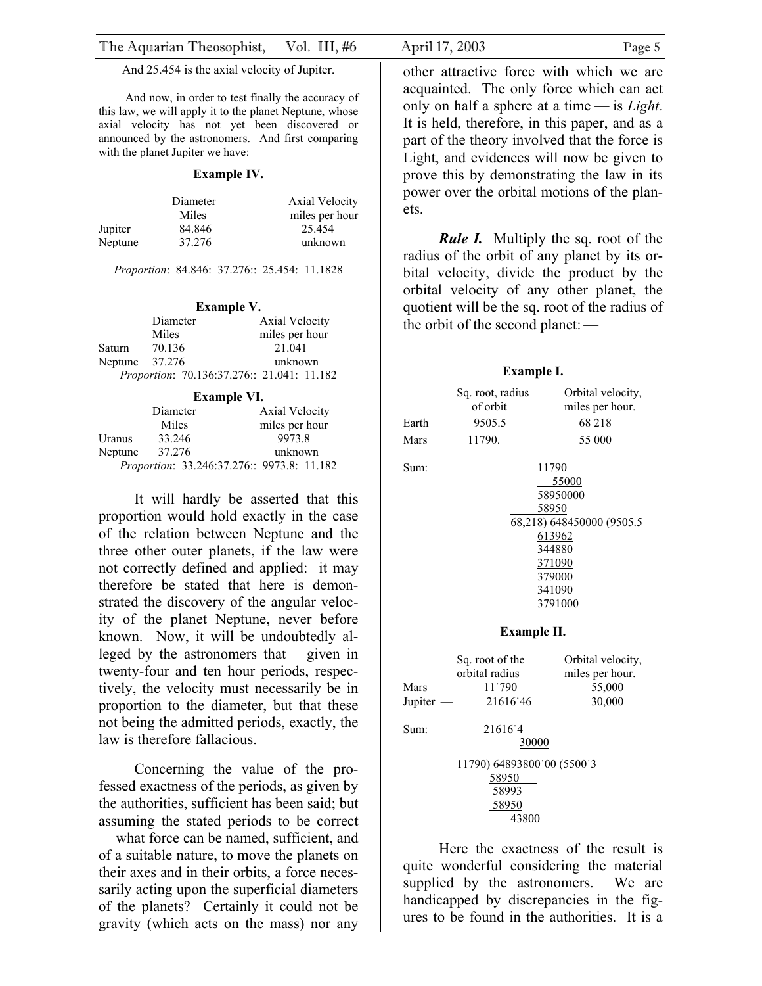And 25.454 is the axial velocity of Jupiter.

And now, in order to test finally the accuracy of this law, we will apply it to the planet Neptune, whose axial velocity has not yet been discovered or announced by the astronomers. And first comparing with the planet Jupiter we have:

#### **Example IV.**

|         | Diameter | Axial Velocity |
|---------|----------|----------------|
|         | Miles    | miles per hour |
| Jupiter | 84.846   | 25.454         |
| Neptune | 37.276   | unknown        |

*Proportion*: 84.846: 37.276:: 25.454: 11.1828

|         |          | <b>Example V.</b>                          |
|---------|----------|--------------------------------------------|
|         | Diameter | <b>Axial Velocity</b>                      |
|         | Miles    | miles per hour                             |
| Saturn  | 70.136   | 21.041                                     |
| Neptune | 37.276   | unknown                                    |
|         |          | Proportion: 70.136:37.276:: 21.041: 11.182 |

### **Example VI.**

|         | Diameter | <b>Axial Velocity</b>                      |
|---------|----------|--------------------------------------------|
|         | Miles    | miles per hour                             |
| Uranus  | 33.246   | 9973.8                                     |
| Neptune | 37.276   | unknown                                    |
|         |          | Proportion: 33.246:37.276:: 9973.8: 11.182 |

It will hardly be asserted that this proportion would hold exactly in the case of the relation between Neptune and the three other outer planets, if the law were not correctly defined and applied: it may therefore be stated that here is demonstrated the discovery of the angular velocity of the planet Neptune, never before known. Now, it will be undoubtedly alleged by the astronomers that – given in twenty-four and ten hour periods, respectively, the velocity must necessarily be in proportion to the diameter, but that these not being the admitted periods, exactly, the law is therefore fallacious.

Concerning the value of the professed exactness of the periods, as given by the authorities, sufficient has been said; but assuming the stated periods to be correct — what force can be named, sufficient, and of a suitable nature, to move the planets on their axes and in their orbits, a force necessarily acting upon the superficial diameters of the planets? Certainly it could not be gravity (which acts on the mass) nor any

other attractive force with which we are acquainted. The only force which can act only on half a sphere at a time — is *Light*. It is held, therefore, in this paper, and as a part of the theory involved that the force is Light, and evidences will now be given to prove this by demonstrating the law in its power over the orbital motions of the planets.

*Rule I.* Multiply the sq. root of the radius of the orbit of any planet by its orbital velocity, divide the product by the orbital velocity of any other planet, the quotient will be the sq. root of the radius of the orbit of the second planet:—

### **Example I.**

|                       | Sq. root, radius<br>of orbit                                   | Orbital velocity,<br>miles per hour.                                                                                                 |  |
|-----------------------|----------------------------------------------------------------|--------------------------------------------------------------------------------------------------------------------------------------|--|
| Earth $-$             | 9505.5                                                         | 68 218                                                                                                                               |  |
| $Mars$ —              | 11790.                                                         | 55 000                                                                                                                               |  |
| Sum:                  |                                                                | 11790<br>55000<br>58950000<br>58950<br>68,218) 648450000 (9505.5<br><u>613962</u><br>344880<br>371090<br>379000<br>341090<br>3791000 |  |
|                       | Example II.                                                    |                                                                                                                                      |  |
| $Mars -$<br>Jupiter - | Sq. root of the<br>orbital radius<br>11.790<br>21616'46        | Orbital velocity,<br>miles per hour.<br>55,000<br>30,000                                                                             |  |
| Sum:                  | 21616.4<br>30000                                               |                                                                                                                                      |  |
|                       | 11790) 64893800 00 (5500 3<br>58950<br>58993<br>58950<br>43800 |                                                                                                                                      |  |

Here the exactness of the result is quite wonderful considering the material supplied by the astronomers. We are handicapped by discrepancies in the figures to be found in the authorities. It is a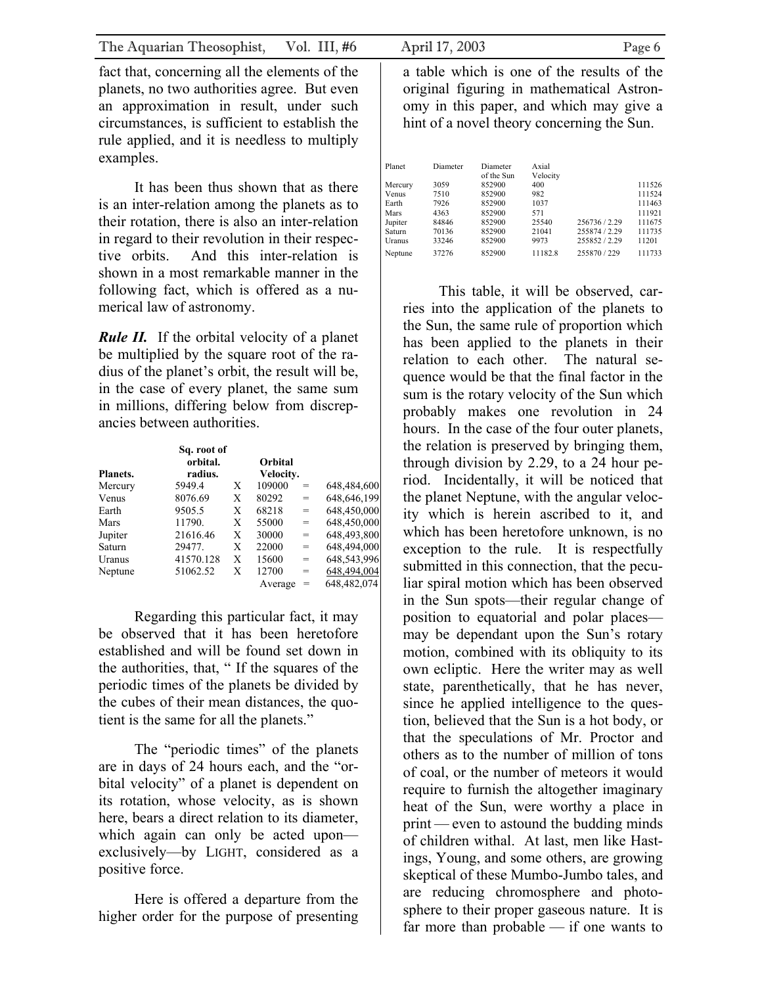fact that, concerning all the elements of the planets, no two authorities agree. But even an approximation in result, under such circumstances, is sufficient to establish the rule applied, and it is needless to multiply examples.

It has been thus shown that as there is an inter-relation among the planets as to their rotation, there is also an inter-relation in regard to their revolution in their respective orbits. And this inter-relation is shown in a most remarkable manner in the following fact, which is offered as a numerical law of astronomy.

*Rule II.* If the orbital velocity of a planet be multiplied by the square root of the radius of the planet's orbit, the result will be, in the case of every planet, the same sum in millions, differing below from discrepancies between authorities.

| <b>Planets.</b> | Sq. root of<br>orbital.<br>radius. |   | Orbital<br>Velocity. |     |             |
|-----------------|------------------------------------|---|----------------------|-----|-------------|
| Mercury         | 5949.4                             | X | 109000               | $=$ | 648,484,600 |
| Venus           | 8076.69                            | X | 80292                | $=$ | 648,646,199 |
| Earth           | 9505.5                             | X | 68218                | $=$ | 648,450,000 |
| Mars            | 11790.                             | Х | 55000                | $=$ | 648,450,000 |
| Jupiter         | 21616.46                           | X | 30000                | $=$ | 648,493,800 |
| Saturn          | 29477.                             | Х | 22000                | $=$ | 648,494,000 |
| Uranus          | 41570.128                          | X | 15600                | $=$ | 648,543,996 |
| Neptune         | 51062.52                           | X | 12700                | $=$ | 648,494,004 |
|                 |                                    |   | Average              |     | 648,482,074 |

Regarding this particular fact, it may be observed that it has been heretofore established and will be found set down in the authorities, that, " If the squares of the periodic times of the planets be divided by the cubes of their mean distances, the quotient is the same for all the planets."

The "periodic times" of the planets are in days of 24 hours each, and the "orbital velocity" of a planet is dependent on its rotation, whose velocity, as is shown here, bears a direct relation to its diameter, which again can only be acted upon exclusively—by LIGHT, considered as a positive force.

Here is offered a departure from the higher order for the purpose of presenting

a table which is one of the results of the original figuring in mathematical Astronomy in this paper, and which may give a hint of a novel theory concerning the Sun.

| Planet        | Diameter | Diameter   | Axial    |               |        |
|---------------|----------|------------|----------|---------------|--------|
|               |          | of the Sun | Velocity |               |        |
| Mercury       | 3059     | 852900     | 400      |               | 111526 |
| Venus         | 7510     | 852900     | 982      |               | 111524 |
| Earth         | 7926     | 852900     | 1037     |               | 111463 |
| Mars          | 4363     | 852900     | 571      |               | 111921 |
| Jupiter       | 84846    | 852900     | 25540    | 256736 / 2.29 | 111675 |
| Saturn        | 70136    | 852900     | 21041    | 255874 / 2.29 | 111735 |
| <b>Uranus</b> | 33246    | 852900     | 9973     | 255852/229    | 11201  |
| Neptune       | 37276    | 852900     | 11182.8  | 255870 / 229  | 111733 |
|               |          |            |          |               |        |

This table, it will be observed, carries into the application of the planets to the Sun, the same rule of proportion which has been applied to the planets in their relation to each other. The natural sequence would be that the final factor in the sum is the rotary velocity of the Sun which probably makes one revolution in 24 hours. In the case of the four outer planets, the relation is preserved by bringing them, through division by 2.29, to a 24 hour period. Incidentally, it will be noticed that the planet Neptune, with the angular velocity which is herein ascribed to it, and which has been heretofore unknown, is no exception to the rule. It is respectfully submitted in this connection, that the peculiar spiral motion which has been observed in the Sun spots—their regular change of position to equatorial and polar places may be dependant upon the Sun's rotary motion, combined with its obliquity to its own ecliptic. Here the writer may as well state, parenthetically, that he has never, since he applied intelligence to the question, believed that the Sun is a hot body, or that the speculations of Mr. Proctor and others as to the number of million of tons of coal, or the number of meteors it would require to furnish the altogether imaginary heat of the Sun, were worthy a place in print — even to astound the budding minds of children withal. At last, men like Hastings, Young, and some others, are growing skeptical of these Mumbo-Jumbo tales, and are reducing chromosphere and photosphere to their proper gaseous nature. It is far more than probable — if one wants to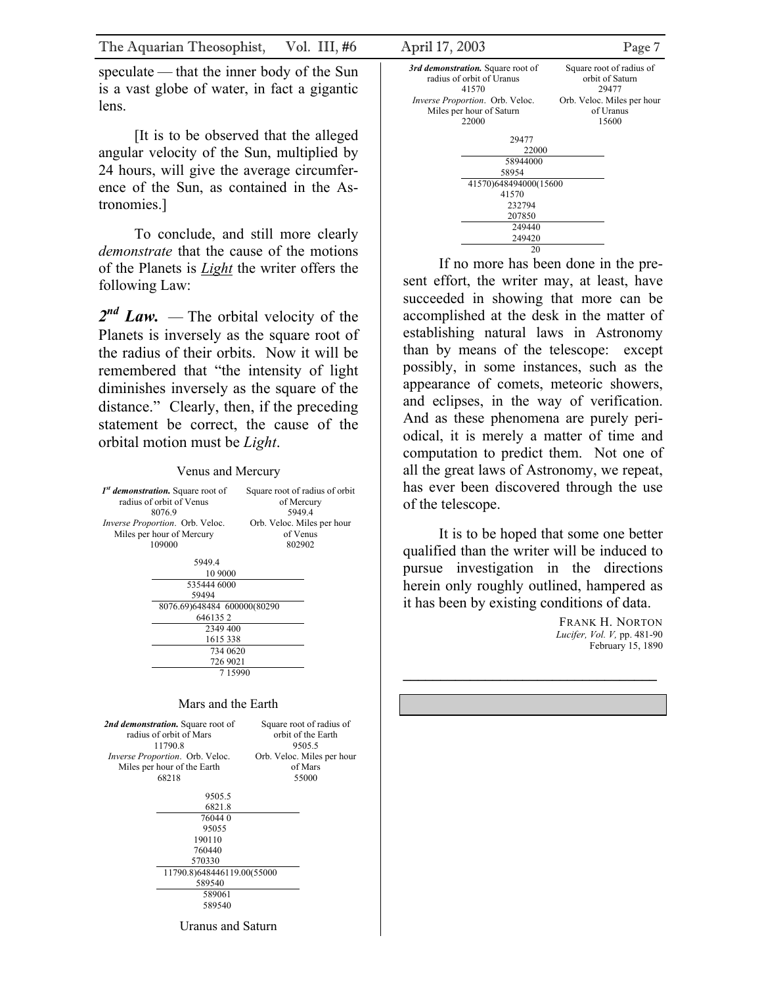speculate — that the inner body of the Sun is a vast globe of water, in fact a gigantic lens.

[It is to be observed that the alleged angular velocity of the Sun, multiplied by 24 hours, will give the average circumference of the Sun, as contained in the Astronomies.]

To conclude, and still more clearly *demonstrate* that the cause of the motions of the Planets is *Light* the writer offers the following Law:

2<sup>nd</sup> Law. — The orbital velocity of the Planets is inversely as the square root of the radius of their orbits. Now it will be remembered that "the intensity of light diminishes inversely as the square of the distance." Clearly, then, if the preceding statement be correct, the cause of the orbital motion must be *Light*.

### Venus and Mercury

| 1 <sup>st</sup> demonstration. Square root of<br>radius of orbit of Venus<br>8076.9 |                                        | Square root of radius of orbit<br>of Mercury<br>5949.4 |
|-------------------------------------------------------------------------------------|----------------------------------------|--------------------------------------------------------|
|                                                                                     | <i>Inverse Proportion.</i> Orb. Veloc. | Orb. Veloc. Miles per hour                             |
|                                                                                     | Miles per hour of Mercury              | of Venus                                               |
|                                                                                     | 109000                                 | 802902                                                 |
|                                                                                     |                                        |                                                        |
|                                                                                     | 5949.4                                 |                                                        |
|                                                                                     | 10 9000                                |                                                        |
|                                                                                     | 535444 6000                            |                                                        |
|                                                                                     | 59494                                  |                                                        |
|                                                                                     | 8076.69)648484 600000(80290            |                                                        |
|                                                                                     | 6461352                                |                                                        |
|                                                                                     | 2349 400                               |                                                        |
|                                                                                     | 1615 338                               |                                                        |
|                                                                                     | 734 0620                               |                                                        |
|                                                                                     | 726 9021                               |                                                        |
|                                                                                     | 715990                                 |                                                        |
|                                                                                     |                                        |                                                        |
|                                                                                     |                                        |                                                        |
|                                                                                     | Mars and the Earth                     |                                                        |
|                                                                                     | 2nd demonstration. Square root of      | Square root of radius of                               |
|                                                                                     | radius of orbit of Mars                | orbit of the Earth                                     |
|                                                                                     | 11790.8                                | 9505.5                                                 |
|                                                                                     | Inverse Proportion. Orb. Veloc.        | Orb. Veloc. Miles per hour                             |
|                                                                                     | Miles per hour of the Earth            | of Mars                                                |
|                                                                                     | 68218                                  | 55000                                                  |
|                                                                                     |                                        |                                                        |
|                                                                                     | 9505.5                                 |                                                        |
|                                                                                     | 6821.8                                 |                                                        |
|                                                                                     | 760440                                 |                                                        |

 95055 190110 760440 570330 11790.8)648446119.00(55000 589540 589061 589540 Uranus and Saturn



20

If no more has been done in the present effort, the writer may, at least, have succeeded in showing that more can be accomplished at the desk in the matter of establishing natural laws in Astronomy than by means of the telescope: except possibly, in some instances, such as the appearance of comets, meteoric showers, and eclipses, in the way of verification. And as these phenomena are purely periodical, it is merely a matter of time and computation to predict them. Not one of all the great laws of Astronomy, we repeat, has ever been discovered through the use of the telescope.

It is to be hoped that some one better qualified than the writer will be induced to pursue investigation in the directions herein only roughly outlined, hampered as it has been by existing conditions of data.

**\_\_\_\_\_\_\_\_\_\_\_\_\_\_\_\_\_\_\_\_\_\_\_\_\_\_\_\_\_\_\_\_\_\_** 

FRANK H. NORTON *Lucifer, Vol. V,* pp. 481-90 February 15, 1890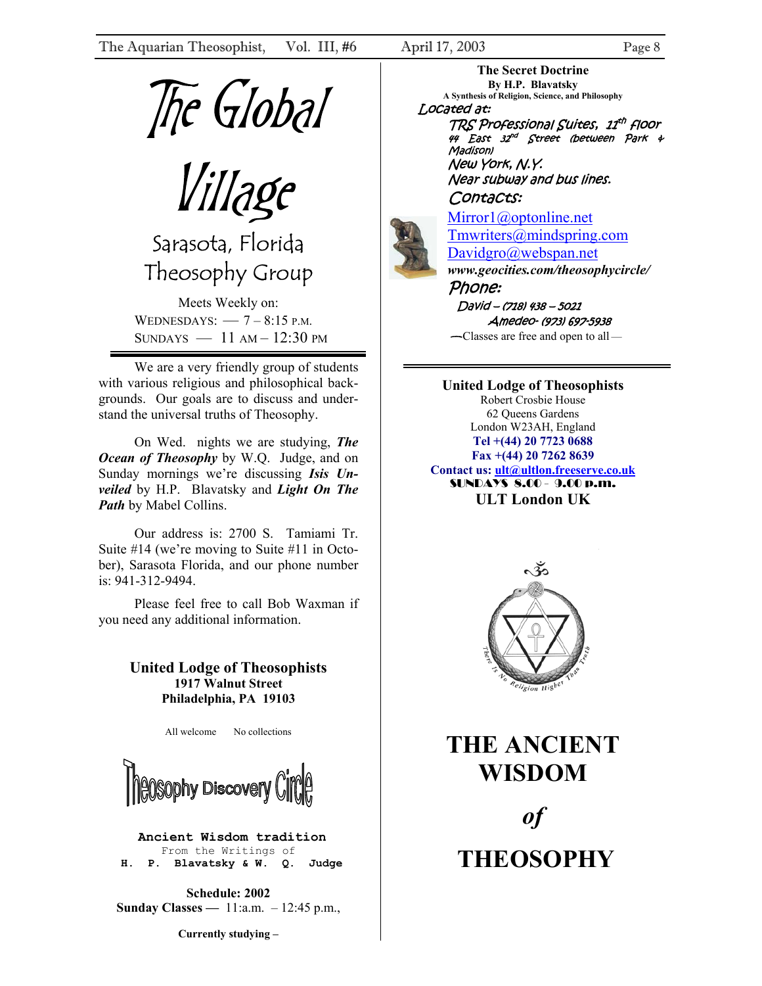<span id="page-7-0"></span>

Sarasota, Florida Theosophy Group

Meets Weekly on: WEDNESDAYS:  $-7 - 8:15$  P.M. SUNDAYS  $-11$  AM  $-12:30$  PM

We are a very friendly group of students with various religious and philosophical backgrounds. Our goals are to discuss and understand the universal truths of Theosophy.

On Wed. nights we are studying, *The Ocean of Theosophy* by W.Q. Judge, and on Sunday mornings we're discussing *Isis Unveiled* by H.P. Blavatsky and *Light On The Path* by Mabel Collins.

Our address is: 2700 S. Tamiami Tr. Suite #14 (we're moving to Suite #11 in October), Sarasota Florida, and our phone number is: 941-312-9494.

Please feel free to call Bob Waxman if you need any additional information.

### **United Lodge of Theosophists 1917 Walnut Street Philadelphia, PA 19103**

All welcome No collections



**Ancient Wisdom tradition**  From the Writings of  **H. P. Blavatsky & W. Q. Judge**

**Schedule: 2002 Sunday Classes —** 11:a.m. – 12:45 p.m.,

**Currently studying –** 

**The Secret Doctrine By H.P. Blavatsky A Synthesis of Religion, Science, and Philosophy** Located at:

TRS Professional Suites, 11th floor Madison) 44 East 32 nd Street (between Park & New York, N.Y. Near subway and bus lines.

### Contacts:

[Mirror1@optonline.net](mailto:Mirror1@optonline.net) [Tmwriters@mindspring.com](mailto:Tmwriters@mindspring.com) [Davidgro@webspan.net](mailto:Davidgro@webspan.net) *www.geocities.com/theosophycircle/* 

Phone: David – (718) 438 – 5021 Amedeo- (973) 697-5938 — Classes are free and open to all—

**United Lodge of Theosophists**  Robert Crosbie House 62 Queens Gardens London W23AH, England **Tel +(44) 20 7723 0688 Fax +(44) 20 7262 8639 Contact us: [ult@ultlon.freeserve.co.uk](mailto:ult@ultlon.freeserve.co.uk)** SUNDAYS 8.00 - 9.00 p.m. **ULT London UK** 



**THE ANCIENT WISDOM**  *of*  **THEOSOPHY**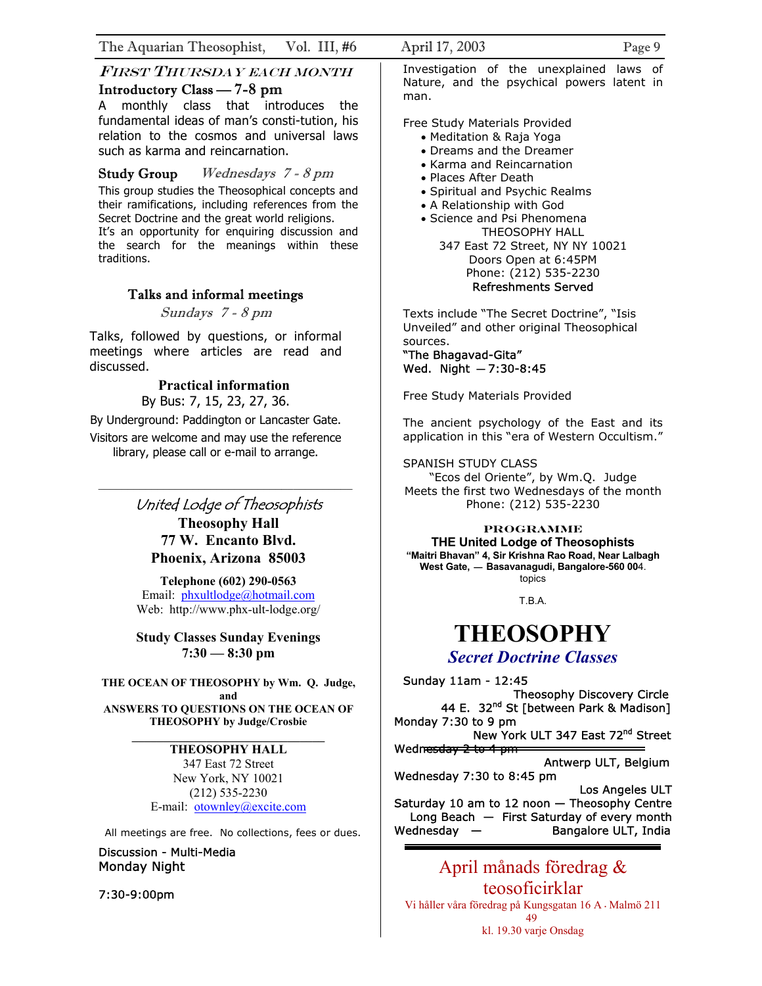### FIRST THURSDAY EACH MONTH Introductory Class — 7-8 pm

A monthly class that introduces the fundamental ideas of man's consti-tution, his relation to the cosmos and universal laws such as karma and reincarnation.

Study Group Wednesdays 7 - 8 pm This group studies the Theosophical concepts and their ramifications, including references from the Secret Doctrine and the great world religions. It's an opportunity for enquiring discussion and the search for the meanings within these traditions.

### Talks and informal meetings

Sundays 7 - 8 pm

Talks, followed by questions, or informal meetings where articles are read and discussed.

### **Practical information**

By Bus: 7, 15, 23, 27, 36.

By Underground: Paddington or Lancaster Gate.

Visitors are welcome and may use the reference library, please call or e-mail to arrange.

# United Lodge of Theosophists

**Theosophy Hall 77 W. Encanto Blvd. Phoenix, Arizona 85003** 

**Telephone (602) 290-0563** Email: [phxultlodge@hotmail.com](mailto:phxultlodge@hotmail.com) Web: http://www.phx-ult-lodge.org/

**Study Classes Sunday Evenings 7:30 — 8:30 pm**

**THE OCEAN OF THEOSOPHY by Wm. Q. Judge, and ANSWERS TO QUESTIONS ON THE OCEAN OF THEOSOPHY by Judge/Crosbie**

### **\_\_\_\_\_\_\_\_\_\_\_\_\_\_\_\_\_\_\_\_\_\_\_\_\_\_\_\_\_\_\_ THEOSOPHY HALL**

347 East 72 Street New York, NY 10021 (212) 535-2230 E-mail: [otownley@excite.com](mailto:otownley@excite.com)

All meetings are free. No collections, fees or dues.

Discussion - Multi-Media Monday Night

7:30-9:00pm

Investigation of the unexplained laws of Nature, and the psychical powers latent in man.

Free Study Materials Provided

- Meditation & Raja Yoga
- Dreams and the Dreamer
- Karma and Reincarnation
- Places After Death
- Spiritual and Psychic Realms
- A Relationship with God
- Science and Psi Phenomena THEOSOPHY HALL
	- 347 East 72 Street, NY NY 10021 Doors Open at 6:45PM Phone: (212) 535-2230 Refreshments Served

Texts include "The Secret Doctrine", "Isis Unveiled" and other original Theosophical sources.

### "The Bhagavad-Gita" Wed. Night — 7:30-8:45

Free Study Materials Provided

The ancient psychology of the East and its application in this "era of Western Occultism."

SPANISH STUDY CLASS

"Ecos del Oriente", by Wm.Q. Judge Meets the first two Wednesdays of the month Phone: (212) 535-2230

### **PROGRAMME**

**THE United Lodge of Theosophists "Maitri Bhavan" 4, Sir Krishna Rao Road, Near Lalbagh West Gate, — Basavanagudi, Bangalore-560 00**4. topics

T.B.A.

# **THEOSOPHY**

## *Secret Doctrine Classes*

Sunday 11am - 12:45 Theosophy Discovery Circle 44 E. 32<sup>nd</sup> St [between Park & Madison] Monday 7:30 to 9 pm New York ULT 347 East 72<sup>nd</sup> Street Wednesday 2 to 4 pm Antwerp ULT, Belgium Wednesday 7:30 to 8:45 pm Los Angeles ULT Saturday 10 am to 12 noon — Theosophy Centre Long Beach — First Saturday of every month Wednesday — Bangalore ULT, India

April månads föredrag & teosoficirklar Vi håller våra föredrag på Kungsgatan 16 A • Malmö 211 49 kl. 19.30 varje Onsdag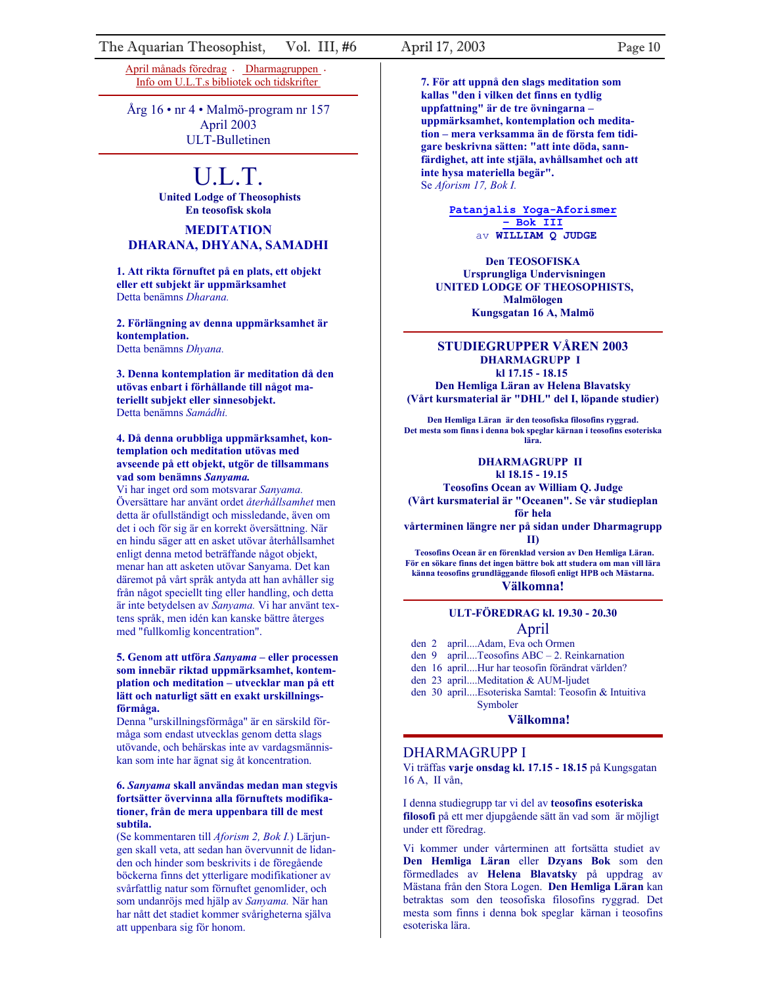[April månads föredrag](http://www.teosofiskakompaniet.net/) • [Dhar](http://www.buginword.com/)[magruppen](http://www.teosofiskakompaniet.net/) • Info om U.L.T.s [bibliotek och tidskrifter](http://www.teosofiskakompaniet.net/) 

Årg 16 • nr 4 • Malmö-program nr 157 April 2003 ULT-Bulletinen

# U.L.T.

**United Lodge of Theosophists En teosofisk skola**

### **MEDITATION DHARANA, DHYANA, SAMADHI**

**1. Att rikta förnuftet på en plats, ett objekt eller ett subjekt är uppmärksamhet**  Detta benämns *Dharana.* 

**2. Förlängning av denna uppmärksamhet är kontemplation.** Detta benämns *Dhyana.*

**3. Denna kontemplation är meditation då den utövas enbart i förhållande till något materiellt subjekt eller sinnesobjekt.**  Detta benämns *Samádhi.*

### **4. Då denna orubbliga uppmärksamhet, kontemplation och meditation utövas med avseende på ett objekt, utgör de tillsammans vad som benämns** *Sanyama.*

Vi har inget ord som motsvarar *Sanyama.* Översättare har använt ordet *återhållsamhet* men detta är ofullständigt och missledande, även om det i och för sig är en korrekt översättning. När en hindu säger att en asket utövar återhållsamhet enligt denna metod beträffande något objekt, menar han att asketen utövar Sanyama. Det kan däremot på vårt språk antyda att han avhåller sig från något speciellt ting eller handling, och detta är inte betydelsen av *Sanyama.* Vi har använt textens språk, men idén kan kanske bättre återges med "fullkomlig koncentration".

### **5. Genom att utföra** *Sanyama* **– eller processen som innebär riktad uppmärksamhet, kontemplation och meditation – utvecklar man på ett lätt och naturligt sätt en exakt urskillningsförmåga.**

Denna "urskillningsförmåga" är en särskild förmåga som endast utvecklas genom detta slags utövande, och behärskas inte av vardagsmänniskan som inte har ägnat sig åt koncentration.

### **6.** *Sanyama* **skall användas medan man stegvis fortsätter övervinna alla förnuftets modifikationer, från de mera uppenbara till de mest subtila.**

(Se kommentaren till *Aforism 2, Bok I.*) Lärjungen skall veta, att sedan han övervunnit de lidanden och hinder som beskrivits i de föregående böckerna finns det ytterligare modifikationer av svårfattlig natur som förnuftet genomlider, och som undanröjs med hjälp av *Sanyama.* När han har nått det stadiet kommer svårigheterna själva att uppenbara sig för honom.

**7. För att uppnå den slags meditation som kallas "den i vilken det finns en tydlig uppfattning" är de tre övningarna – uppmärksamhet, kontemplation och meditation – mera verksamma än de första fem tidigare beskrivna sätten: "att inte döda, sannfärdighet, att inte stjäla, avhållsamhet och att inte hysa materiella begär".** Se *Aforism 17, Bok I.*

> **[Patanjalis Yoga-Aforismer](http://www.buginword.com/)  [– Bok III](http://www.buginword.com/)** av **WILLIAM Q [J](http://www.teosofiskakompaniet.net/PatanjaliTredjeBoken.htm)UDGE**

**Den TEOSOFISKA Ursprungliga Undervisningen UNITED LODGE OF THEOSOPHISTS, Malmölogen Kungsgatan 16 A, Malmö**

### **STUDIEGRUPPER VÅREN 2003 DHARMAGRUPP I kl 17.15 - 18.15**

**Den Hemliga Läran av Helena Blavatsky (Vårt kursmaterial är "DHL" del I, löpande studier)**

**Den Hemliga Läran är den teosofiska filosofins ryggrad. Det mesta som finns i denna bok speglar kärnan i teosofins esoteriska lära.** 

#### **DHARMAGRUPP II kl 18.15 - 19.15**

**Teosofins Ocean av William Q. Judge (Vårt kursmaterial är "Oceanen". Se vår studieplan för hela** 

**vårterminen längre ner på sidan under Dharmagrupp** 

### **II)**

**Teosofins Ocean är en förenklad version av Den Hemliga Läran. För en sökare finns det ingen bättre bok att studera om man vill lära känna teosofins grundläggande filosofi enligt HPB och Mästarna. Välkomna!** 

# **ULT-FÖREDRAG kl. 19.30 - 20.30**

- April<br>den 2 april....Adam, Eva och Ormen
- den 9 april....Teosofins ABC 2. Reinkarnation

den 16 april....Hur har teosofin förändrat världen?

den 23 april....Meditation & AUM-ljudet

 den 30 april....Esoteriska Samtal: Teosofin & Intuitiva Symboler

#### **Välkomna!**

### DHARMAGRUPP I

Vi träffas **varje onsdag kl. 17.15 - 18.15** på Kungsgatan 16 A, II vån,

I denna studiegrupp tar vi del av **teosofins esoteriska filosofi** på ett mer djupgående sätt än vad som är möjligt under ett föredrag.

Vi kommer under vårterminen att fortsätta studiet av **Den Hemliga Läran** eller **Dzyans Bok** som den förmedlades av **Helena Blavatsky** på uppdrag av Mästana från den Stora Logen. **Den Hemliga Läran** kan betraktas som den teosofiska filosofins ryggrad. Det mesta som finns i denna bok speglar kärnan i teosofins esoteriska lära.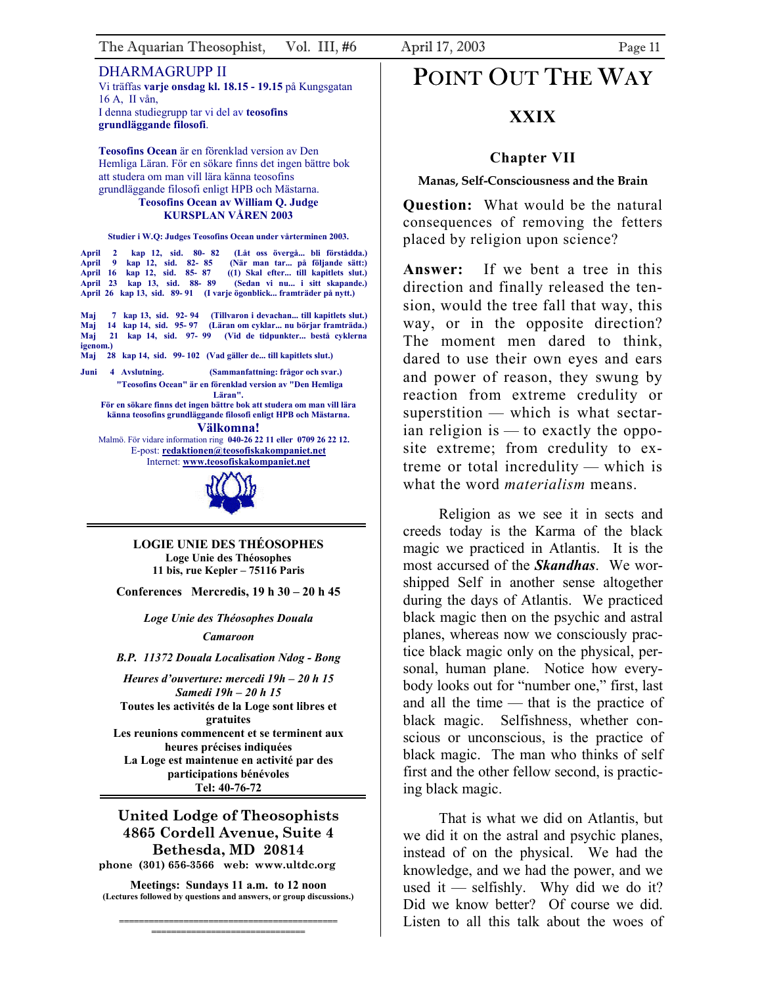<span id="page-10-0"></span>DHARMAGRUPP II Vi träffas **varje onsdag kl. 18.15 - 19.15** på Kungsgatan 16 A, II vån, I denna studiegrupp tar vi del av **teosofins grundläggande filosofi**.

**Teosofins Ocean** är en förenklad version av Den Hemliga Läran. För en sökare finns det ingen bättre bok att studera om man vill lära känna teosofins grundläggande filosofi enligt HPB och Mästarna. **Teosofins Ocean av William Q. Judge** 

# **KURSPLAN VÅREN 2003**

### **Studier i W.Q: Judges Teosofins Ocean under vårterminen 2003.**

**April 2 kap 12, sid. 80- 82 (Låt oss övergå... bli förstådda.) April 9 kap 12, sid. 82- 85 (När man tar... på följande sätt:) Apple 16 Kap 12, 16 Kap 12, 16 Kap 12, 16 Kap 12, 16 Kap 12, 16 Kap 12, 16 Kap 12, 16 Kap 12, 16 Kap 12, 16 Kap 12, 16 Kap 12, 16 Kap 12, 16 Kap 12, 16 Kap 12, 16 Kap 12, 16 Kap 12, 16 Kap 12, 16 Kap 12, 16 Kap 12, 16 Kap April 23 kap 12, sid. 85- 87**<br> **April 23 kap 13, sid. 88- 89 April 26 kap 13, sid. 89- 91 (I varje ögonblick... framträder på nytt.)**

**Maj 7 kap 13, sid. 92- 94 (Tillvaron i devachan... till kapitlets slut.) Maj 14 kap 14, sid. 95- 97 (Läran om cyklar... nu börjar framträda.) Maj 21 kap 14, sid. 97- 99 (Vid de tidpunkter... bestå cyklerna igenom.)**

**Maj 28 kap 14, sid. 99- 102 (Vad gäller de... till kapitlets slut.)**

**Juni 4 Avslutning. (Sammanfattning: frågor och svar.) "Teosofins Ocean" är en förenklad version av "Den Hemliga Läran".** 

**För en sökare finns det ingen bättre bok att studera om man vill lära känna teosofins grundläggande filosofi enligt HPB och Mästarna. Välkomna!** 

Malmö. För vidare information ring **040-26 22 11 eller 0709 26 22 12.** E-post: **[redaktionen@teosofiskakompaniet.net](mailto:redaktionen@teosofiskakompaniet.net)** Internet: **[www.teosofiskakompaniet.net](http://www.teosofiskakompaniet.net/)**



**LOGIE UNIE DES THÉOSOPHES Loge Unie des Théosophes 11 bis, rue Kepler – 75116 Paris** 

**Conferences Mercredis, 19 h 30 – 20 h 45** 

*Loge Unie des Théosophes Douala Camaroon* 

*B.P. 11372 Douala Localisation Ndog - Bong* 

*Heures d'ouverture: mercedi 19h – 20 h 15 Samedi 19h – 20 h 15*  **Toutes les activités de la Loge sont libres et gratuites Les reunions commencent et se terminent aux heures précises indiquées La Loge est maintenue en activité par des participations bénévoles Tel: 40-76-72** 

### **United Lodge of Theosophists 4865 Cordell Avenue, Suite 4 Bethesda, MD 20814 phone (301) 656-3566 web: www.ultdc.org**

**Meetings: Sundays 11 a.m. to 12 noon (Lectures followed by questions and answers, or group discussions.)** 

**============================================ ===============================**

# POINT OUT THE WAY

# **XXIX**

### **Chapter VII**

### **Manas, Self-Consciousness and the Brain**

**Question:** What would be the natural consequences of removing the fetters placed by religion upon science?

**Answer:** If we bent a tree in this direction and finally released the tension, would the tree fall that way, this way, or in the opposite direction? The moment men dared to think, dared to use their own eyes and ears and power of reason, they swung by reaction from extreme credulity or superstition — which is what sectarian religion is — to exactly the opposite extreme; from credulity to extreme or total incredulity — which is what the word *materialism* means.

Religion as we see it in sects and creeds today is the Karma of the black magic we practiced in Atlantis. It is the most accursed of the *Skandhas*. We worshipped Self in another sense altogether during the days of Atlantis. We practiced black magic then on the psychic and astral planes, whereas now we consciously practice black magic only on the physical, personal, human plane. Notice how everybody looks out for "number one," first, last and all the time — that is the practice of black magic. Selfishness, whether conscious or unconscious, is the practice of black magic. The man who thinks of self first and the other fellow second, is practicing black magic.

That is what we did on Atlantis, but we did it on the astral and psychic planes, instead of on the physical. We had the knowledge, and we had the power, and we used it — selfishly. Why did we do it? Did we know better? Of course we did. Listen to all this talk about the woes of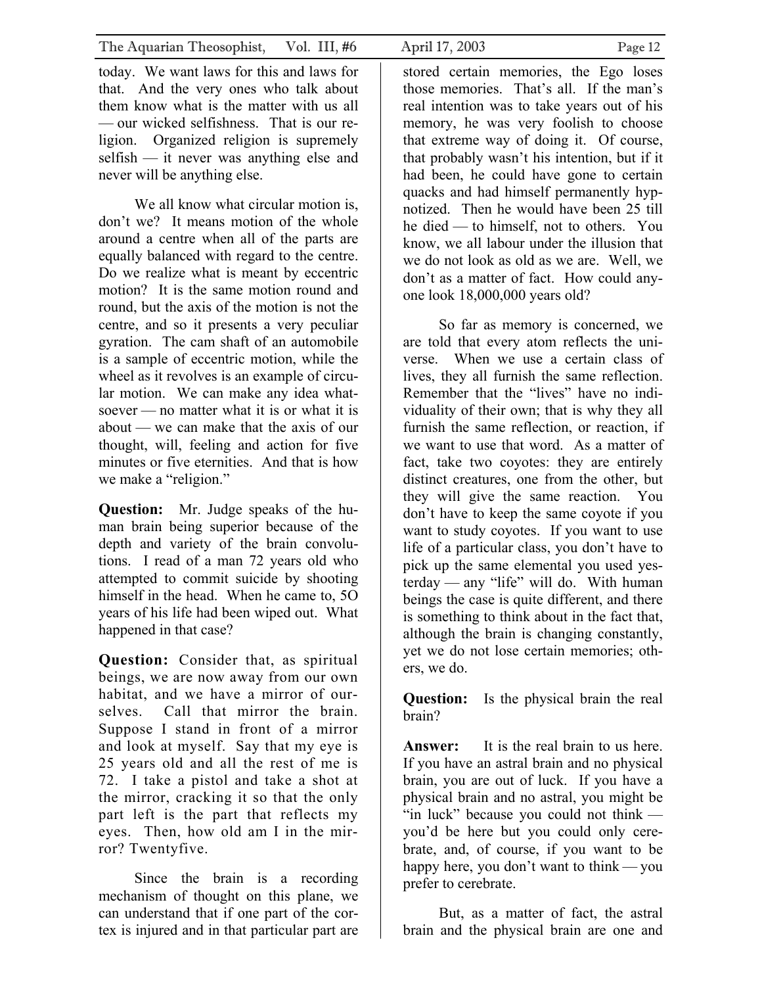today. We want laws for this and laws for that. And the very ones who talk about them know what is the matter with us all — our wicked selfishness. That is our religion. Organized religion is supremely selfish — it never was anything else and never will be anything else.

We all know what circular motion is, don't we? It means motion of the whole around a centre when all of the parts are equally balanced with regard to the centre. Do we realize what is meant by eccentric motion? It is the same motion round and round, but the axis of the motion is not the centre, and so it presents a very peculiar gyration. The cam shaft of an automobile is a sample of eccentric motion, while the wheel as it revolves is an example of circular motion. We can make any idea whatsoever — no matter what it is or what it is about — we can make that the axis of our thought, will, feeling and action for five minutes or five eternities. And that is how we make a "religion."

**Question:** Mr. Judge speaks of the human brain being superior because of the depth and variety of the brain convolutions. I read of a man 72 years old who attempted to commit suicide by shooting himself in the head. When he came to, 5O years of his life had been wiped out. What happened in that case?

**Question:** Consider that, as spiritual beings, we are now away from our own habitat, and we have a mirror of ourselves. Call that mirror the brain. Suppose I stand in front of a mirror and look at myself. Say that my eye is 25 years old and all the rest of me is 72. I take a pistol and take a shot at the mirror, cracking it so that the only part left is the part that reflects my eyes. Then, how old am I in the mirror? Twentyfive.

Since the brain is a recording mechanism of thought on this plane, we can understand that if one part of the cortex is injured and in that particular part are

stored certain memories, the Ego loses those memories. That's all. If the man's real intention was to take years out of his memory, he was very foolish to choose that extreme way of doing it. Of course, that probably wasn't his intention, but if it had been, he could have gone to certain quacks and had himself permanently hypnotized. Then he would have been 25 till he died — to himself, not to others. You know, we all labour under the illusion that we do not look as old as we are. Well, we don't as a matter of fact. How could anyone look 18,000,000 years old?

So far as memory is concerned, we are told that every atom reflects the universe. When we use a certain class of lives, they all furnish the same reflection. Remember that the "lives" have no individuality of their own; that is why they all furnish the same reflection, or reaction, if we want to use that word. As a matter of fact, take two coyotes: they are entirely distinct creatures, one from the other, but they will give the same reaction. You don't have to keep the same coyote if you want to study coyotes. If you want to use life of a particular class, you don't have to pick up the same elemental you used yesterday — any "life" will do. With human beings the case is quite different, and there is something to think about in the fact that, although the brain is changing constantly, yet we do not lose certain memories; others, we do.

**Question:** Is the physical brain the real brain?

**Answer:** It is the real brain to us here. If you have an astral brain and no physical brain, you are out of luck. If you have a physical brain and no astral, you might be "in luck" because you could not think you'd be here but you could only cerebrate, and, of course, if you want to be happy here, you don't want to think — you prefer to cerebrate.

But, as a matter of fact, the astral brain and the physical brain are one and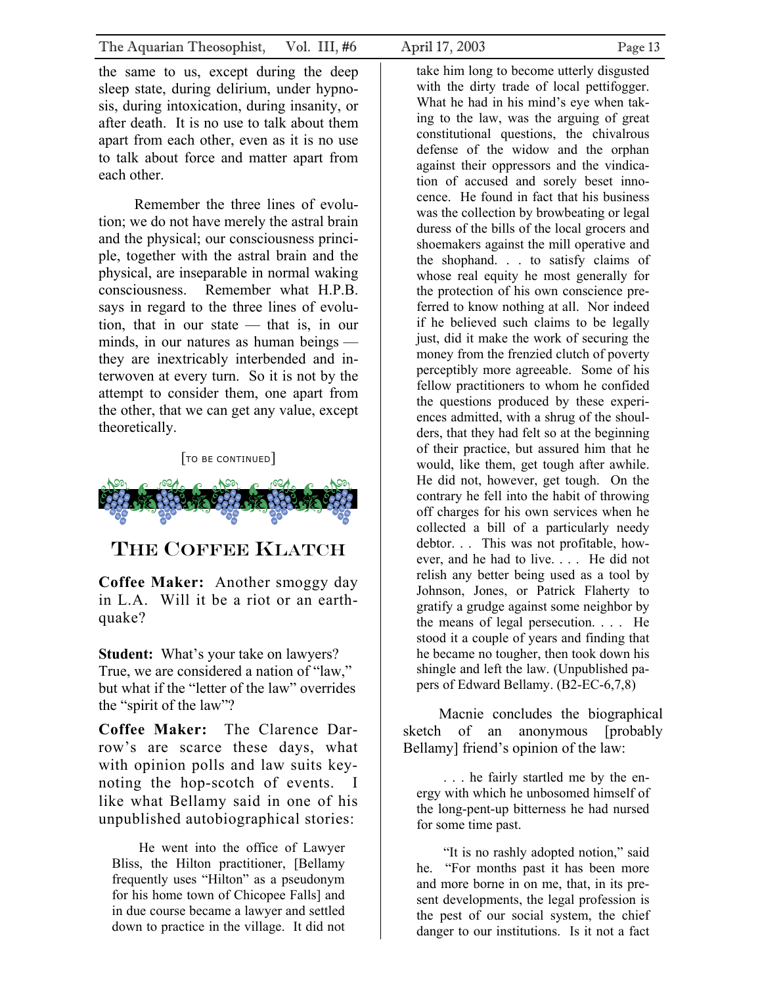<span id="page-12-0"></span>the same to us, except during the deep sleep state, during delirium, under hypnosis, during intoxication, during insanity, or after death. It is no use to talk about them apart from each other, even as it is no use to talk about force and matter apart from each other.

Remember the three lines of evolution; we do not have merely the astral brain and the physical; our consciousness principle, together with the astral brain and the physical, are inseparable in normal waking consciousness. Remember what H.P.B. says in regard to the three lines of evolution, that in our state — that is, in our minds, in our natures as human beings they are inextricably interbended and interwoven at every turn. So it is not by the attempt to consider them, one apart from the other, that we can get any value, except theoretically.

[TO BE CONTINUED]



# THE COFFEE KLATCH

**Coffee Maker:** Another smoggy day in L.A. Will it be a riot or an earthquake?

**Student:** What's your take on lawyers? True, we are considered a nation of "law," but what if the "letter of the law" overrides the "spirit of the law"?

**Coffee Maker:** The Clarence Darrow's are scarce these days, what with opinion polls and law suits keynoting the hop-scotch of events. I like what Bellamy said in one of his unpublished autobiographical stories:

He went into the office of Lawyer Bliss, the Hilton practitioner, [Bellamy frequently uses "Hilton" as a pseudonym for his home town of Chicopee Falls] and in due course became a lawyer and settled down to practice in the village. It did not

take him long to become utterly disgusted with the dirty trade of local pettifogger. What he had in his mind's eye when taking to the law, was the arguing of great constitutional questions, the chivalrous defense of the widow and the orphan against their oppressors and the vindication of accused and sorely beset innocence. He found in fact that his business was the collection by browbeating or legal duress of the bills of the local grocers and shoemakers against the mill operative and the shophand. . . to satisfy claims of whose real equity he most generally for the protection of his own conscience preferred to know nothing at all. Nor indeed if he believed such claims to be legally just, did it make the work of securing the money from the frenzied clutch of poverty perceptibly more agreeable. Some of his fellow practitioners to whom he confided the questions produced by these experiences admitted, with a shrug of the shoulders, that they had felt so at the beginning of their practice, but assured him that he would, like them, get tough after awhile. He did not, however, get tough. On the contrary he fell into the habit of throwing off charges for his own services when he collected a bill of a particularly needy debtor. . . This was not profitable, however, and he had to live. . . . He did not relish any better being used as a tool by Johnson, Jones, or Patrick Flaherty to gratify a grudge against some neighbor by the means of legal persecution. . . . He stood it a couple of years and finding that he became no tougher, then took down his shingle and left the law. (Unpublished papers of Edward Bellamy. (B2-EC-6,7,8)

Macnie concludes the biographical sketch of an anonymous [probably Bellamy] friend's opinion of the law:

. . . he fairly startled me by the energy with which he unbosomed himself of the long-pent-up bitterness he had nursed for some time past.

"It is no rashly adopted notion," said he. "For months past it has been more and more borne in on me, that, in its present developments, the legal profession is the pest of our social system, the chief danger to our institutions. Is it not a fact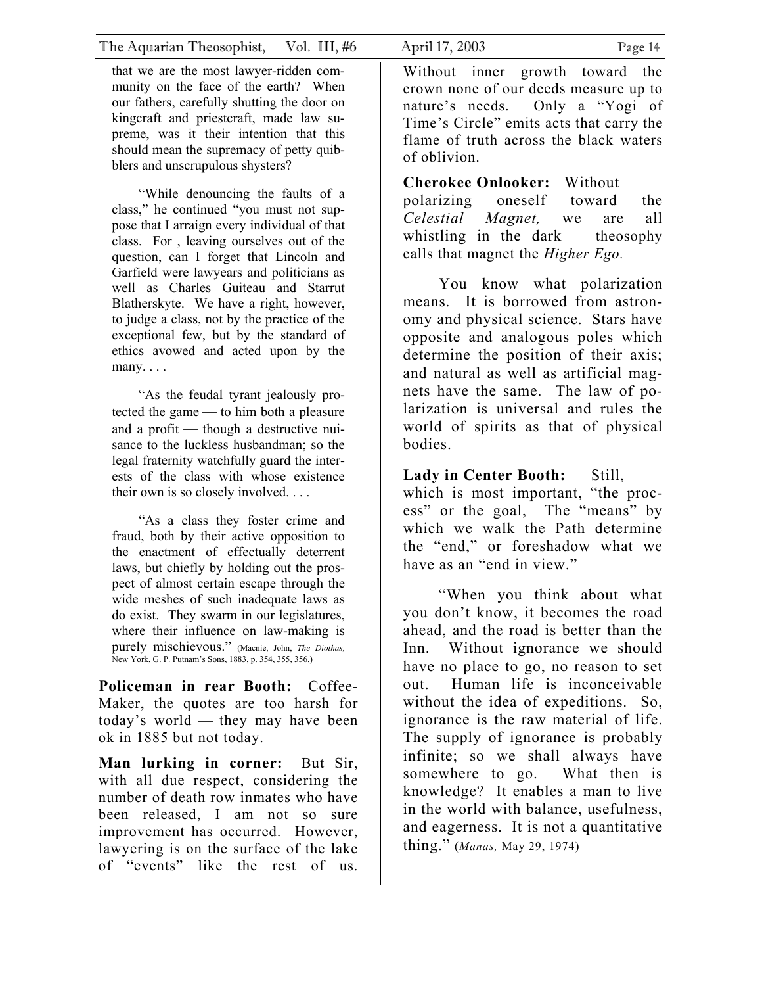that we are the most lawyer-ridden community on the face of the earth? When our fathers, carefully shutting the door on kingcraft and priestcraft, made law supreme, was it their intention that this should mean the supremacy of petty quibblers and unscrupulous shysters?

"While denouncing the faults of a class," he continued "you must not suppose that I arraign every individual of that class. For , leaving ourselves out of the question, can I forget that Lincoln and Garfield were lawyears and politicians as well as Charles Guiteau and Starrut Blatherskyte. We have a right, however, to judge a class, not by the practice of the exceptional few, but by the standard of ethics avowed and acted upon by the many. . . .

"As the feudal tyrant jealously protected the game — to him both a pleasure and a profit — though a destructive nuisance to the luckless husbandman; so the legal fraternity watchfully guard the interests of the class with whose existence their own is so closely involved. . . .

"As a class they foster crime and fraud, both by their active opposition to the enactment of effectually deterrent laws, but chiefly by holding out the prospect of almost certain escape through the wide meshes of such inadequate laws as do exist. They swarm in our legislatures, where their influence on law-making is purely mischievous." (Macnie, John, *The Diothas,* New York, G. P. Putnam's Sons, 1883, p. 354, 355, 356.)

**Policeman in rear Booth:** Coffee-Maker, the quotes are too harsh for today's world — they may have been ok in 1885 but not today.

**Man lurking in corner:** But Sir, with all due respect, considering the number of death row inmates who have been released, I am not so sure improvement has occurred. However, lawyering is on the surface of the lake of "events" like the rest of us.

Without inner growth toward the crown none of our deeds measure up to nature's needs. Only a "Yogi of Time's Circle" emits acts that carry the flame of truth across the black waters of oblivion.

**Cherokee Onlooker:** Without polarizing oneself toward the *Celestial Magnet,* we are all whistling in the dark — theosophy calls that magnet the *Higher Ego.*

You know what polarization means. It is borrowed from astronomy and physical science. Stars have opposite and analogous poles which determine the position of their axis; and natural as well as artificial magnets have the same. The law of polarization is universal and rules the world of spirits as that of physical bodies.

**Lady in Center Booth:** Still, which is most important, "the process" or the goal, The "means" by which we walk the Path determine the "end," or foreshadow what we have as an "end in view."

"When you think about what you don't know, it becomes the road ahead, and the road is better than the Inn. Without ignorance we should have no place to go, no reason to set out. Human life is inconceivable without the idea of expeditions. So, ignorance is the raw material of life. The supply of ignorance is probably infinite; so we shall always have somewhere to go. What then is knowledge? It enables a man to live in the world with balance, usefulness, and eagerness. It is not a quantitative thing." (*Manas,* May 29, 1974)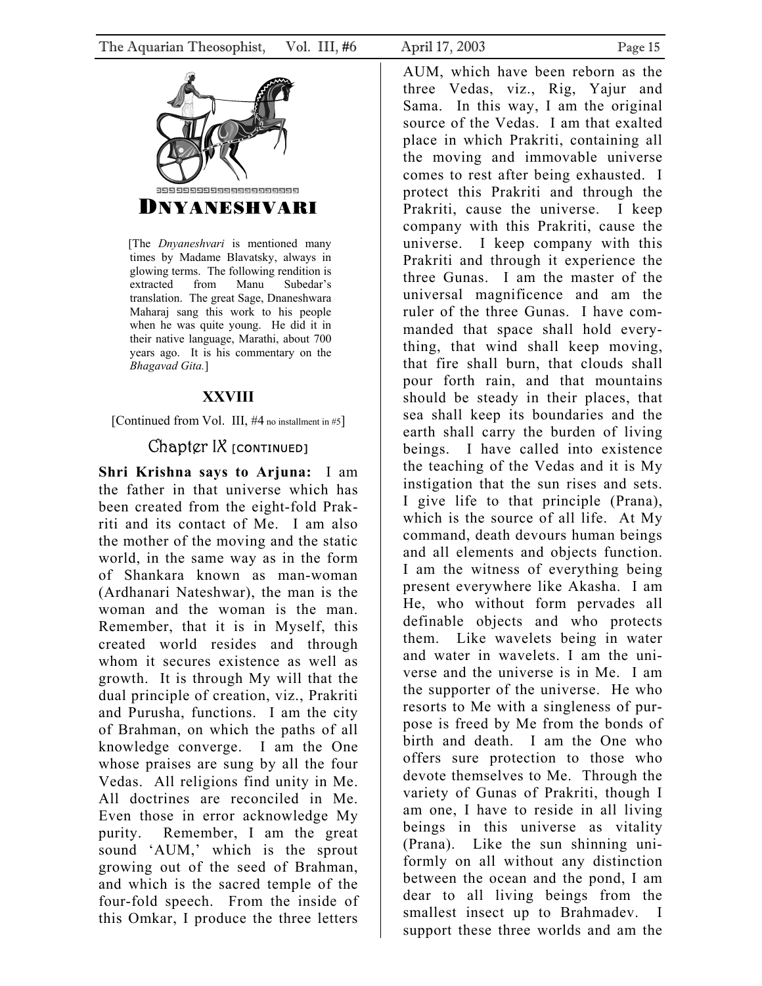<span id="page-14-0"></span>

 [The *Dnyaneshvari* is mentioned many times by Madame Blavatsky, always in glowing terms. The following rendition is extracted from Manu Subedar's translation. The great Sage, Dnaneshwara Maharaj sang this work to his people when he was quite young. He did it in their native language, Marathi, about 700 years ago. It is his commentary on the *Bhagavad Gita.*]

## **XXVIII**

[Continued from Vol. III,  $#4$  no installment in  $#5$ ]

# Chapter IX [CONTINUED]

**Shri Krishna says to Arjuna:** I am the father in that universe which has been created from the eight-fold Prakriti and its contact of Me. I am also the mother of the moving and the static world, in the same way as in the form of Shankara known as man-woman (Ardhanari Nateshwar), the man is the woman and the woman is the man. Remember, that it is in Myself, this created world resides and through whom it secures existence as well as growth. It is through My will that the dual principle of creation, viz., Prakriti and Purusha, functions. I am the city of Brahman, on which the paths of all knowledge converge. I am the One whose praises are sung by all the four Vedas. All religions find unity in Me. All doctrines are reconciled in Me. Even those in error acknowledge My purity. Remember, I am the great sound 'AUM,' which is the sprout growing out of the seed of Brahman, and which is the sacred temple of the four-fold speech. From the inside of this Omkar, I produce the three letters

AUM, which have been reborn as the three Vedas, viz., Rig, Yajur and Sama. In this way, I am the original source of the Vedas. I am that exalted place in which Prakriti, containing all the moving and immovable universe comes to rest after being exhausted. I protect this Prakriti and through the Prakriti, cause the universe. I keep company with this Prakriti, cause the universe. I keep company with this Prakriti and through it experience the three Gunas. I am the master of the universal magnificence and am the ruler of the three Gunas. I have commanded that space shall hold everything, that wind shall keep moving, that fire shall burn, that clouds shall pour forth rain, and that mountains should be steady in their places, that sea shall keep its boundaries and the earth shall carry the burden of living beings. I have called into existence the teaching of the Vedas and it is My instigation that the sun rises and sets. I give life to that principle (Prana), which is the source of all life. At My command, death devours human beings and all elements and objects function. I am the witness of everything being present everywhere like Akasha. I am He, who without form pervades all definable objects and who protects them. Like wavelets being in water and water in wavelets. I am the universe and the universe is in Me. I am the supporter of the universe. He who resorts to Me with a singleness of purpose is freed by Me from the bonds of birth and death. I am the One who offers sure protection to those who devote themselves to Me. Through the variety of Gunas of Prakriti, though I am one, I have to reside in all living beings in this universe as vitality (Prana). Like the sun shinning uniformly on all without any distinction between the ocean and the pond, I am dear to all living beings from the smallest insect up to Brahmadev. I support these three worlds and am the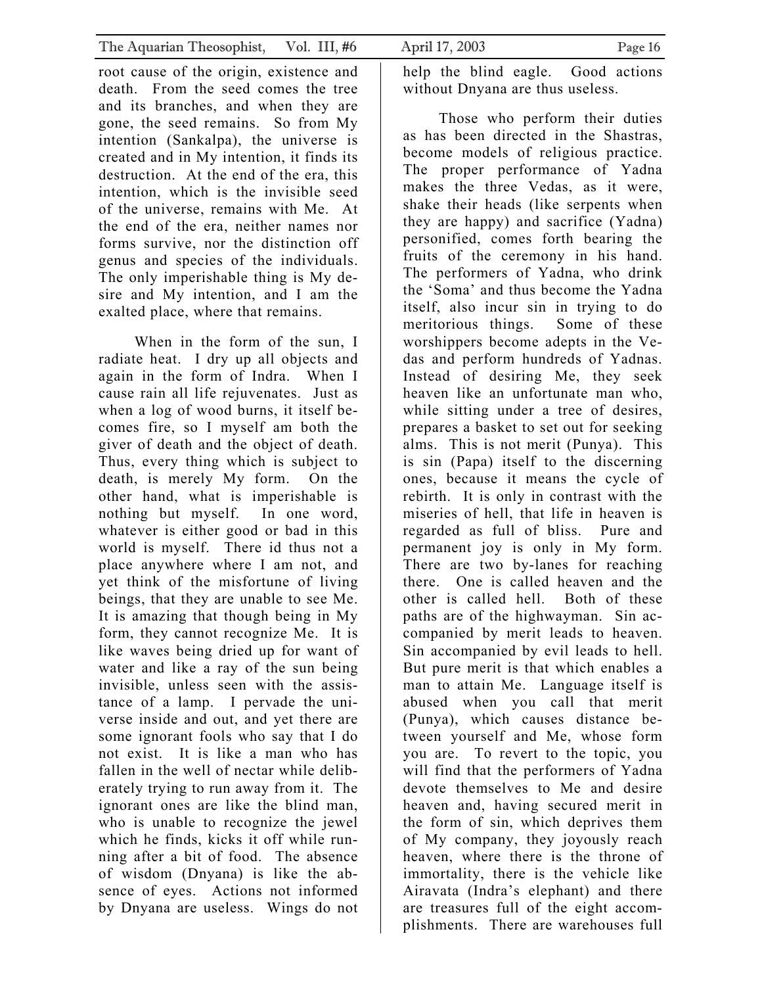root cause of the origin, existence and death. From the seed comes the tree and its branches, and when they are gone, the seed remains. So from My intention (Sankalpa), the universe is created and in My intention, it finds its destruction. At the end of the era, this intention, which is the invisible seed of the universe, remains with Me. At the end of the era, neither names nor forms survive, nor the distinction off genus and species of the individuals. The only imperishable thing is My desire and My intention, and I am the exalted place, where that remains.

 When in the form of the sun, I radiate heat. I dry up all objects and again in the form of Indra. When I cause rain all life rejuvenates. Just as when a log of wood burns, it itself becomes fire, so I myself am both the giver of death and the object of death. Thus, every thing which is subject to death, is merely My form. On the other hand, what is imperishable is nothing but myself. In one word, whatever is either good or bad in this world is myself. There id thus not a place anywhere where I am not, and yet think of the misfortune of living beings, that they are unable to see Me. It is amazing that though being in My form, they cannot recognize Me. It is like waves being dried up for want of water and like a ray of the sun being invisible, unless seen with the assistance of a lamp. I pervade the universe inside and out, and yet there are some ignorant fools who say that I do not exist. It is like a man who has fallen in the well of nectar while deliberately trying to run away from it. The ignorant ones are like the blind man, who is unable to recognize the jewel which he finds, kicks it off while running after a bit of food. The absence of wisdom (Dnyana) is like the absence of eyes. Actions not informed by Dnyana are useless. Wings do not

help the blind eagle. Good actions without Dnyana are thus useless.

 Those who perform their duties as has been directed in the Shastras, become models of religious practice. The proper performance of Yadna makes the three Vedas, as it were, shake their heads (like serpents when they are happy) and sacrifice (Yadna) personified, comes forth bearing the fruits of the ceremony in his hand. The performers of Yadna, who drink the 'Soma' and thus become the Yadna itself, also incur sin in trying to do meritorious things. Some of these worshippers become adepts in the Vedas and perform hundreds of Yadnas. Instead of desiring Me, they seek heaven like an unfortunate man who, while sitting under a tree of desires, prepares a basket to set out for seeking alms. This is not merit (Punya). This is sin (Papa) itself to the discerning ones, because it means the cycle of rebirth. It is only in contrast with the miseries of hell, that life in heaven is regarded as full of bliss. Pure and permanent joy is only in My form. There are two by-lanes for reaching there. One is called heaven and the other is called hell. Both of these paths are of the highwayman. Sin accompanied by merit leads to heaven. Sin accompanied by evil leads to hell. But pure merit is that which enables a man to attain Me. Language itself is abused when you call that merit (Punya), which causes distance between yourself and Me, whose form you are. To revert to the topic, you will find that the performers of Yadna devote themselves to Me and desire heaven and, having secured merit in the form of sin, which deprives them of My company, they joyously reach heaven, where there is the throne of immortality, there is the vehicle like Airavata (Indra's elephant) and there are treasures full of the eight accomplishments. There are warehouses full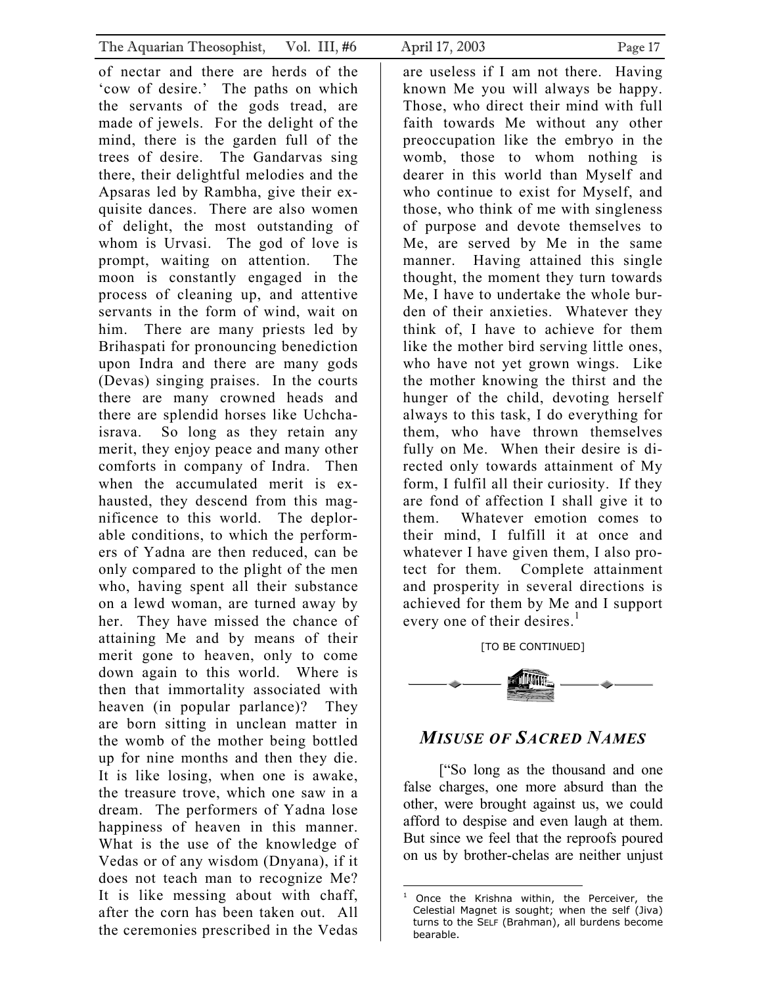<span id="page-16-1"></span><span id="page-16-0"></span>

| The Aquarian Theosophist, Vol. III, #6                                                                                                                                                                                                                                                                                                                                                                                                                                                                                                                                                                                                                                                                                                                                                                                                                                                                                                                                                                                                                                                                                                                                                            | April 17, 2003<br>Page 17                                                                                                                                                                                                                                                                                                                                                                                                                                                                                                                                                                                                                                                                                                                                                                                                                                                                                                                                                                                                                                                                                                                                                                                     |
|---------------------------------------------------------------------------------------------------------------------------------------------------------------------------------------------------------------------------------------------------------------------------------------------------------------------------------------------------------------------------------------------------------------------------------------------------------------------------------------------------------------------------------------------------------------------------------------------------------------------------------------------------------------------------------------------------------------------------------------------------------------------------------------------------------------------------------------------------------------------------------------------------------------------------------------------------------------------------------------------------------------------------------------------------------------------------------------------------------------------------------------------------------------------------------------------------|---------------------------------------------------------------------------------------------------------------------------------------------------------------------------------------------------------------------------------------------------------------------------------------------------------------------------------------------------------------------------------------------------------------------------------------------------------------------------------------------------------------------------------------------------------------------------------------------------------------------------------------------------------------------------------------------------------------------------------------------------------------------------------------------------------------------------------------------------------------------------------------------------------------------------------------------------------------------------------------------------------------------------------------------------------------------------------------------------------------------------------------------------------------------------------------------------------------|
| of nectar and there are herds of the<br>'cow of desire.' The paths on which<br>the servants of the gods tread, are<br>made of jewels. For the delight of the<br>mind, there is the garden full of the<br>trees of desire. The Gandarvas sing<br>there, their delightful melodies and the<br>Apsaras led by Rambha, give their ex-<br>quisite dances. There are also women<br>of delight, the most outstanding of<br>whom is Urvasi. The god of love is<br>prompt, waiting on attention.<br>The<br>moon is constantly engaged in the<br>process of cleaning up, and attentive<br>servants in the form of wind, wait on<br>him. There are many priests led by<br>Brihaspati for pronouncing benediction<br>upon Indra and there are many gods<br>(Devas) singing praises. In the courts<br>there are many crowned heads and<br>there are splendid horses like Uchcha-<br>israva. So long as they retain any<br>merit, they enjoy peace and many other<br>comforts in company of Indra. Then<br>when the accumulated merit is ex-<br>hausted, they descend from this mag-<br>nificence to this world. The deplor-<br>able conditions, to which the perform-<br>ers of Yadna are then reduced, can be | are useless if I am not there. Having<br>known Me you will always be happy.<br>Those, who direct their mind with full<br>faith towards Me without any other<br>preoccupation like the embryo in the<br>womb, those to whom nothing is<br>dearer in this world than Myself and<br>who continue to exist for Myself, and<br>those, who think of me with singleness<br>of purpose and devote themselves to<br>Me, are served by Me in the same<br>manner. Having attained this single<br>thought, the moment they turn towards<br>Me, I have to undertake the whole bur-<br>den of their anxieties. Whatever they<br>think of, I have to achieve for them<br>like the mother bird serving little ones,<br>who have not yet grown wings. Like<br>the mother knowing the thirst and the<br>hunger of the child, devoting herself<br>always to this task, I do everything for<br>them, who have thrown themselves<br>fully on Me. When their desire is di-<br>rected only towards attainment of My<br>form, I fulfil all their curiosity. If they<br>are fond of affection I shall give it to<br>them. Whatever emotion comes to<br>their mind, I fulfill it at once and<br>whatever I have given them, I also pro- |
| only compared to the plight of the men<br>who, having spent all their substance<br>on a lewd woman, are turned away by<br>her. They have missed the chance of<br>attaining Me and by means of their                                                                                                                                                                                                                                                                                                                                                                                                                                                                                                                                                                                                                                                                                                                                                                                                                                                                                                                                                                                               | tect for them. Complete attainment<br>and prosperity in several directions is<br>achieved for them by Me and I support<br>every one of their desires. <sup>1</sup>                                                                                                                                                                                                                                                                                                                                                                                                                                                                                                                                                                                                                                                                                                                                                                                                                                                                                                                                                                                                                                            |
| merit gone to heaven, only to come                                                                                                                                                                                                                                                                                                                                                                                                                                                                                                                                                                                                                                                                                                                                                                                                                                                                                                                                                                                                                                                                                                                                                                | [TO BE CONTINUED]                                                                                                                                                                                                                                                                                                                                                                                                                                                                                                                                                                                                                                                                                                                                                                                                                                                                                                                                                                                                                                                                                                                                                                                             |
| down again to this world. Where is<br>then that immortality associated with<br>heaven (in popular parlance)? They<br>are born sitting in unclean matter in                                                                                                                                                                                                                                                                                                                                                                                                                                                                                                                                                                                                                                                                                                                                                                                                                                                                                                                                                                                                                                        |                                                                                                                                                                                                                                                                                                                                                                                                                                                                                                                                                                                                                                                                                                                                                                                                                                                                                                                                                                                                                                                                                                                                                                                                               |
| the womb of the mother being bottled                                                                                                                                                                                                                                                                                                                                                                                                                                                                                                                                                                                                                                                                                                                                                                                                                                                                                                                                                                                                                                                                                                                                                              | <b>MISUSE OF SACRED NAMES</b>                                                                                                                                                                                                                                                                                                                                                                                                                                                                                                                                                                                                                                                                                                                                                                                                                                                                                                                                                                                                                                                                                                                                                                                 |
| up for nine months and then they die.<br>It is like losing, when one is awake,<br>the treasure trove, which one saw in a<br>dream. The performers of Yadna lose<br>happiness of heaven in this manner.<br>What is the use of the knowledge of<br>Vedas or of any wisdom (Dnyana), if it<br>does not teach man to recognize Me?<br>It is like messing about with chaff,                                                                                                                                                                                                                                                                                                                                                                                                                                                                                                                                                                                                                                                                                                                                                                                                                            | ["So long as the thousand and one<br>false charges, one more absurd than the<br>other, were brought against us, we could<br>afford to despise and even laugh at them.<br>But since we feel that the reproofs poured<br>on us by brother-chelas are neither unjust                                                                                                                                                                                                                                                                                                                                                                                                                                                                                                                                                                                                                                                                                                                                                                                                                                                                                                                                             |
| after the corn has been taken out. All<br>the ceremonies prescribed in the Vedas                                                                                                                                                                                                                                                                                                                                                                                                                                                                                                                                                                                                                                                                                                                                                                                                                                                                                                                                                                                                                                                                                                                  | <sup>1</sup> Once the Krishna within, the Perceiver, the<br>Celestial Magnet is sought; when the self (Jiva)<br>turns to the SELF (Brahman), all burdens become<br>bearable.                                                                                                                                                                                                                                                                                                                                                                                                                                                                                                                                                                                                                                                                                                                                                                                                                                                                                                                                                                                                                                  |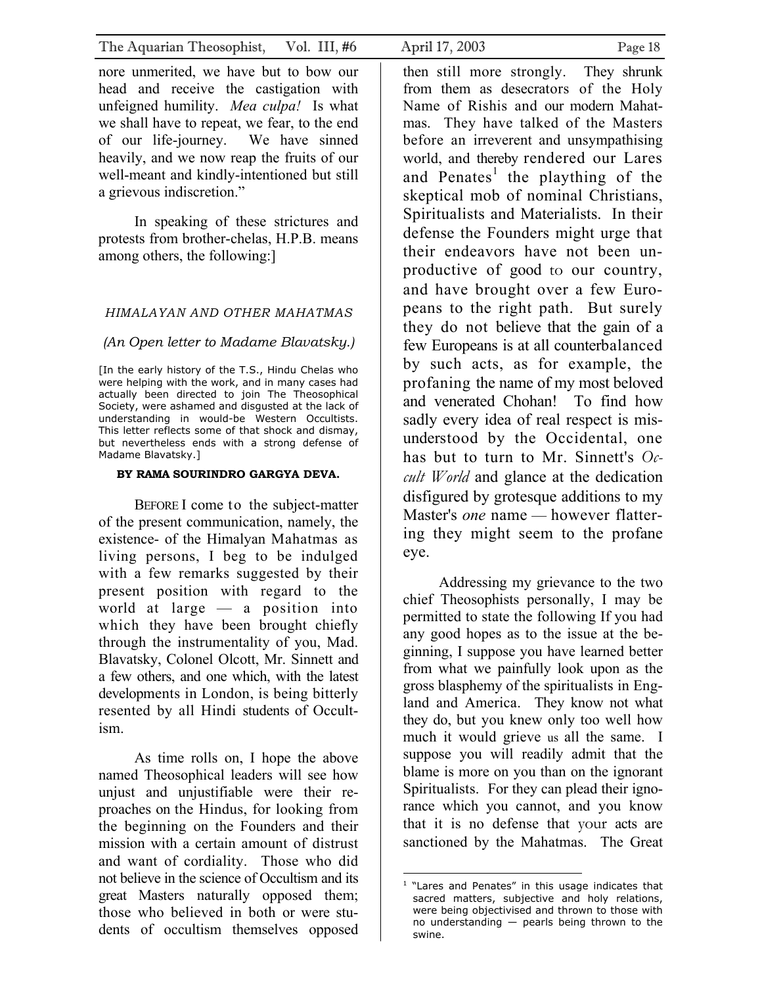nore unmerited, we have but to bow our head and receive the castigation with unfeigned humility. *Mea culpa!* Is what we shall have to repeat, we fear, to the end of our life-journey. We have sinned heavily, and we now reap the fruits of our well-meant and kindly-intentioned but still a grievous indiscretion."

In speaking of these strictures and protests from brother-chelas, H.P.B. means among others, the following:]

### *HIMALAYAN AND OTHER MAHATMAS*

### *(An Open letter to Madame Blavatsky.)*

[In the early history of the T.S., Hindu Chelas who were helping with the work, and in many cases had actually been directed to join The Theosophical Society, were ashamed and disgusted at the lack of understanding in would-be Western Occultists. This letter reflects some of that shock and dismay, but nevertheless ends with a strong defense of Madame Blavatsky.]

### **BY RAMA SOURINDRO GARGYA DEVA.**

BEFORE I come to the subject-matter of the present communication, namely, the existence- of the Himalyan Mahatmas as living persons, I beg to be indulged with a few remarks suggested by their present position with regard to the world at large — a position into which they have been brought chiefly through the instrumentality of you, Mad. Blavatsky, Colonel Olcott, Mr. Sinnett and a few others, and one which, with the latest developments in London, is being bitterly resented by all Hindi students of Occultism.

As time rolls on, I hope the above named Theosophical leaders will see how unjust and unjustifiable were their reproaches on the Hindus, for looking from the beginning on the Founders and their mission with a certain amount of distrust and want of cordiality. Those who did not believe in the science of Occultism and its great Masters naturally opposed them; those who believed in both or were students of occultism themselves opposed

eye.

then still more strongly. They shrunk from them as desecrators of the Holy Name of Rishis and our modern Mahatmas. They have talked of the Masters before an irreverent and unsympathising world, and thereby rendered our Lares and Penates<sup>[1](#page-17-0)</sup> the plaything of the skeptical mob of nominal Christians, Spiritualists and Materialists. In their defense the Founders might urge that their endeavors have not been unproductive of good to our country, and have brought over a few Europeans to the right path. But surely they do not believe that the gain of a few Europeans is at all counterbalanced by such acts, as for example, the profaning the name of my most beloved and venerated Chohan! To find how sadly every idea of real respect is misunderstood by the Occidental, one has but to turn to Mr. Sinnett's *Occult World* and glance at the dedication disfigured by grotesque additions to my Master's *one* name — however flattering they might seem to the profane

Addressing my grievance to the two chief Theosophists personally, I may be permitted to state the following If you had any good hopes as to the issue at the beginning, I suppose you have learned better from what we painfully look upon as the gross blasphemy of the spiritualists in England and America. They know not what they do, but you knew only too well how much it would grieve us all the same. I suppose you will readily admit that the blame is more on you than on the ignorant Spiritualists. For they can plead their ignorance which you cannot, and you know that it is no defense that your acts are sanctioned by the Mahatmas. The Great

<span id="page-17-0"></span> $\overline{a}$ 1 "Lares and Penates" in this usage indicates that sacred matters, subjective and holy relations, were being objectivised and thrown to those with no understanding — pearls being thrown to the swine.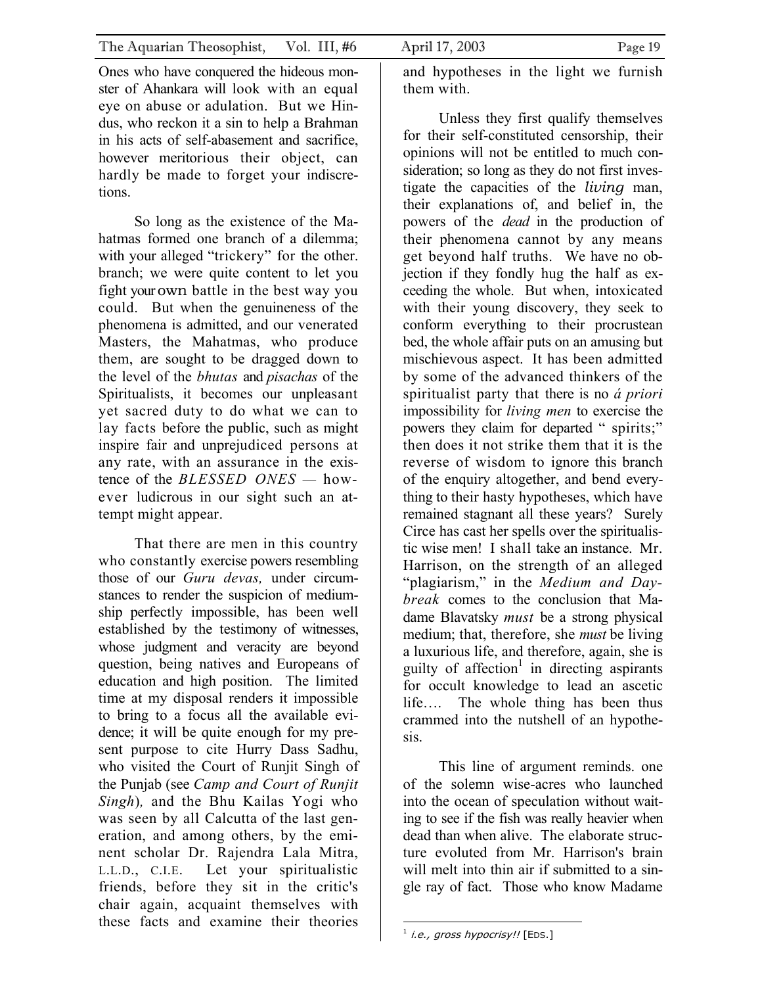Ones who have conquered the hideous monster of Ahankara will look with an equal eye on abuse or adulation. But we Hindus, who reckon it a sin to help a Brahman in his acts of self-abasement and sacrifice, however meritorious their object, can hardly be made to forget your indiscretions.

So long as the existence of the Mahatmas formed one branch of a dilemma; with your alleged "trickery" for the other. branch; we were quite content to let you fight your own battle in the best way you could. But when the genuineness of the phenomena is admitted, and our venerated Masters, the Mahatmas, who produce them, are sought to be dragged down to the level of the *bhutas* and *pisachas* of the Spiritualists, it becomes our unpleasant yet sacred duty to do what we can to lay facts before the public, such as might inspire fair and unprejudiced persons at any rate, with an assurance in the existence of the *BLESSED ONES —* however ludicrous in our sight such an attempt might appear.

That there are men in this country who constantly exercise powers resembling those of our *Guru devas,* under circumstances to render the suspicion of mediumship perfectly impossible, has been well established by the testimony of witnesses, whose judgment and veracity are beyond question, being natives and Europeans of education and high position. The limited time at my disposal renders it impossible to bring to a focus all the available evidence; it will be quite enough for my present purpose to cite Hurry Dass Sadhu, who visited the Court of Runjit Singh of the Punjab (see *Camp and Court of Runjit Singh*)*,* and the Bhu Kailas Yogi who was seen by all Calcutta of the last generation, and among others, by the eminent scholar Dr. Rajendra Lala Mitra, L.L.D., C.I.E. Let your spiritualistic friends, before they sit in the critic's chair again, acquaint themselves with these facts and examine their theories

and hypotheses in the light we furnish them with.

Unless they first qualify themselves for their self-constituted censorship, their opinions will not be entitled to much consideration; so long as they do not first investigate the capacities of the *living* man, their explanations of, and belief in, the powers of the *dead* in the production of their phenomena cannot by any means get beyond half truths. We have no objection if they fondly hug the half as exceeding the whole. But when, intoxicated with their young discovery, they seek to conform everything to their procrustean bed, the whole affair puts on an amusing but mischievous aspect. It has been admitted by some of the advanced thinkers of the spiritualist party that there is no *á priori*  impossibility for *living men* to exercise the powers they claim for departed " spirits;" then does it not strike them that it is the reverse of wisdom to ignore this branch of the enquiry altogether, and bend everything to their hasty hypotheses, which have remained stagnant all these years? Surely Circe has cast her spells over the spiritualistic wise men! I shall take an instance. Mr. Harrison, on the strength of an alleged "plagiarism," in the *Medium and Daybreak* comes to the conclusion that Madame Blavatsky *must* be a strong physical medium; that, therefore, she *must* be living a luxurious life, and therefore, again, she is guilty of affection<sup>1</sup> in directing aspirants for occult knowledge to lead an ascetic life…. The whole thing has been thus crammed into the nutshell of an hypothesis.

This line of argument reminds. one of the solemn wise-acres who launched into the ocean of speculation without waiting to see if the fish was really heavier when dead than when alive. The elaborate structure evoluted from Mr. Harrison's brain will melt into thin air if submitted to a single ray of fact. Those who know Madame

<span id="page-18-0"></span>l  $1$  i.e., gross hypocrisy!! [EDS.]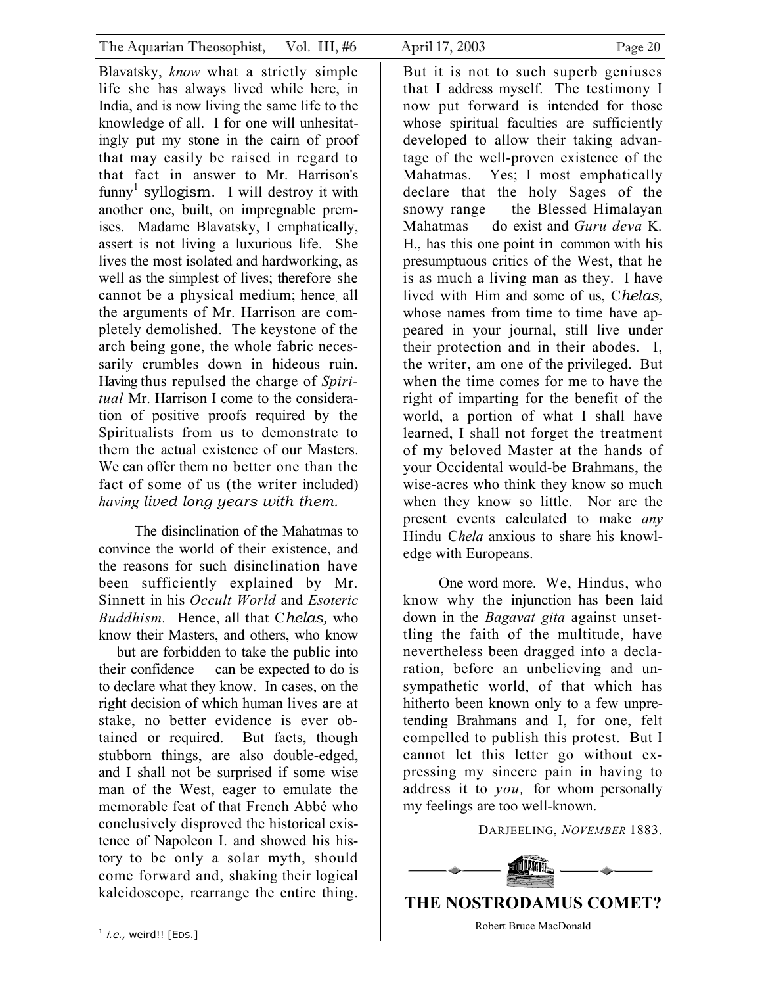<span id="page-19-0"></span>Blavatsky, *know* what a strictly simple life she has always lived while here, in India, and is now living the same life to the knowledge of all. I for one will unhesitatingly put my stone in the cairn of proof that may easily be raised in regard to that fact in answer to Mr. Harrison's  $funny<sup>1</sup> syllogism.$  $funny<sup>1</sup> syllogism.$  $funny<sup>1</sup> syllogism.$  I will destroy it with another one, built, on impregnable premises. Madame Blavatsky, I emphatically, assert is not living a luxurious life. She lives the most isolated and hardworking, as well as the simplest of lives; therefore she cannot be a physical medium; hence. all the arguments of Mr. Harrison are completely demolished. The keystone of the arch being gone, the whole fabric necessarily crumbles down in hideous ruin. Having thus repulsed the charge of *Spiritual* Mr. Harrison I come to the consideration of positive proofs required by the Spiritualists from us to demonstrate to them the actual existence of our Masters. We can offer them no better one than the fact of some of us (the writer included) *having lived long years with them.* 

The disinclination of the Mahatmas to convince the world of their existence, and the reasons for such disinclination have been sufficiently explained by Mr. Sinnett in his *Occult World* and *Esoteric Buddhism.* Hence, all that C*helas,* who know their Masters, and others, who know — but are forbidden to take the public into their confidence — can be expected to do is to declare what they know. In cases, on the right decision of which human lives are at stake, no better evidence is ever obtained or required. But facts, though stubborn things, are also double-edged, and I shall not be surprised if some wise man of the West, eager to emulate the memorable feat of that French Abbé who conclusively disproved the historical existence of Napoleon I. and showed his history to be only a solar myth, should come forward and, shaking their logical kaleidoscope, rearrange the entire thing.

But it is not to such superb geniuses that I address myself. The testimony I now put forward is intended for those whose spiritual faculties are sufficiently developed to allow their taking advantage of the well-proven existence of the Mahatmas. Yes; I most emphatically declare that the holy Sages of the snowy range — the Blessed Himalayan Mahatmas — do exist and *Guru deva* K*.*  H., has this one point in common with his presumptuous critics of the West, that he is as much a living man as they. I have lived with Him and some of us, C*helas,* whose names from time to time have appeared in your journal, still live under their protection and in their abodes. I, the writer, am one of the privileged. But when the time comes for me to have the right of imparting for the benefit of the world, a portion of what I shall have learned, I shall not forget the treatment of my beloved Master at the hands of your Occidental would-be Brahmans, the wise-acres who think they know so much when they know so little. Nor are the present events calculated to make *any* Hindu C*hela* anxious to share his knowledge with Europeans.

One word more. We, Hindus, who know why the injunction has been laid down in the *Bagavat gita* against unsettling the faith of the multitude, have nevertheless been dragged into a declaration, before an unbelieving and unsympathetic world, of that which has hitherto been known only to a few unpretending Brahmans and I, for one, felt compelled to publish this protest. But I cannot let this letter go without expressing my sincere pain in having to address it to *you,* for whom personally my feelings are too well-known.

DARJEELING, *NOVEMBER* 1883.

<span id="page-19-1"></span>

Robert Bruce MacDonald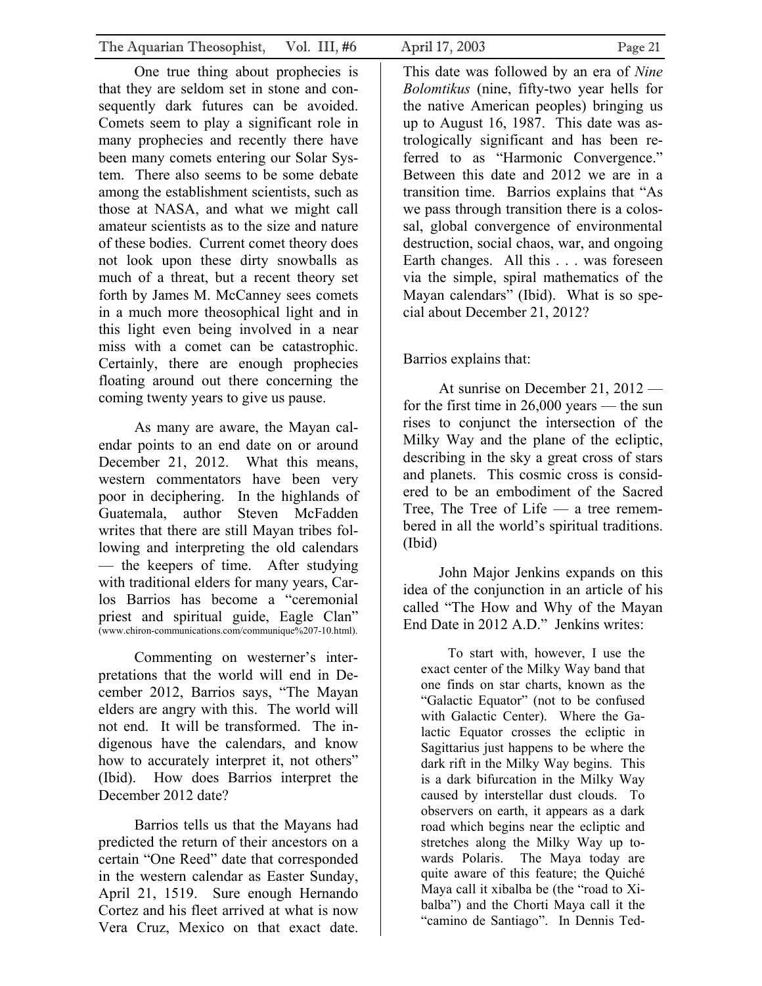One true thing about prophecies is that they are seldom set in stone and consequently dark futures can be avoided. Comets seem to play a significant role in many prophecies and recently there have been many comets entering our Solar System. There also seems to be some debate among the establishment scientists, such as those at NASA, and what we might call amateur scientists as to the size and nature of these bodies. Current comet theory does not look upon these dirty snowballs as much of a threat, but a recent theory set forth by James M. McCanney sees comets in a much more theosophical light and in this light even being involved in a near miss with a comet can be catastrophic. Certainly, there are enough prophecies floating around out there concerning the coming twenty years to give us pause.

As many are aware, the Mayan calendar points to an end date on or around December 21, 2012. What this means, western commentators have been very poor in deciphering. In the highlands of Guatemala, author Steven McFadden writes that there are still Mayan tribes following and interpreting the old calendars — the keepers of time. After studying with traditional elders for many years, Carlos Barrios has become a "ceremonial priest and spiritual guide, Eagle Clan" (www.chiron-communications.com/communique%207-10.html).

Commenting on westerner's interpretations that the world will end in December 2012, Barrios says, "The Mayan elders are angry with this. The world will not end. It will be transformed. The indigenous have the calendars, and know how to accurately interpret it, not others" (Ibid). How does Barrios interpret the December 2012 date?

Barrios tells us that the Mayans had predicted the return of their ancestors on a certain "One Reed" date that corresponded in the western calendar as Easter Sunday, April 21, 1519. Sure enough Hernando Cortez and his fleet arrived at what is now Vera Cruz, Mexico on that exact date.

This date was followed by an era of *Nine Bolomtikus* (nine, fifty-two year hells for the native American peoples) bringing us up to August 16, 1987. This date was astrologically significant and has been referred to as "Harmonic Convergence." Between this date and 2012 we are in a transition time. Barrios explains that "As we pass through transition there is a colossal, global convergence of environmental destruction, social chaos, war, and ongoing Earth changes. All this . . . was foreseen via the simple, spiral mathematics of the Mayan calendars" (Ibid). What is so special about December 21, 2012?

# Barrios explains that:

At sunrise on December 21, 2012 for the first time in 26,000 years — the sun rises to conjunct the intersection of the Milky Way and the plane of the ecliptic, describing in the sky a great cross of stars and planets. This cosmic cross is considered to be an embodiment of the Sacred Tree, The Tree of Life — a tree remembered in all the world's spiritual traditions. (Ibid)

John Major Jenkins expands on this idea of the conjunction in an article of his called "The How and Why of the Mayan End Date in 2012 A.D." Jenkins writes:

To start with, however, I use the exact center of the Milky Way band that one finds on star charts, known as the "Galactic Equator" (not to be confused with Galactic Center). Where the Galactic Equator crosses the ecliptic in Sagittarius just happens to be where the dark rift in the Milky Way begins. This is a dark bifurcation in the Milky Way caused by interstellar dust clouds. To observers on earth, it appears as a dark road which begins near the ecliptic and stretches along the Milky Way up towards Polaris. The Maya today are quite aware of this feature; the Quiché Maya call it xibalba be (the "road to Xibalba") and the Chorti Maya call it the "camino de Santiago". In Dennis Ted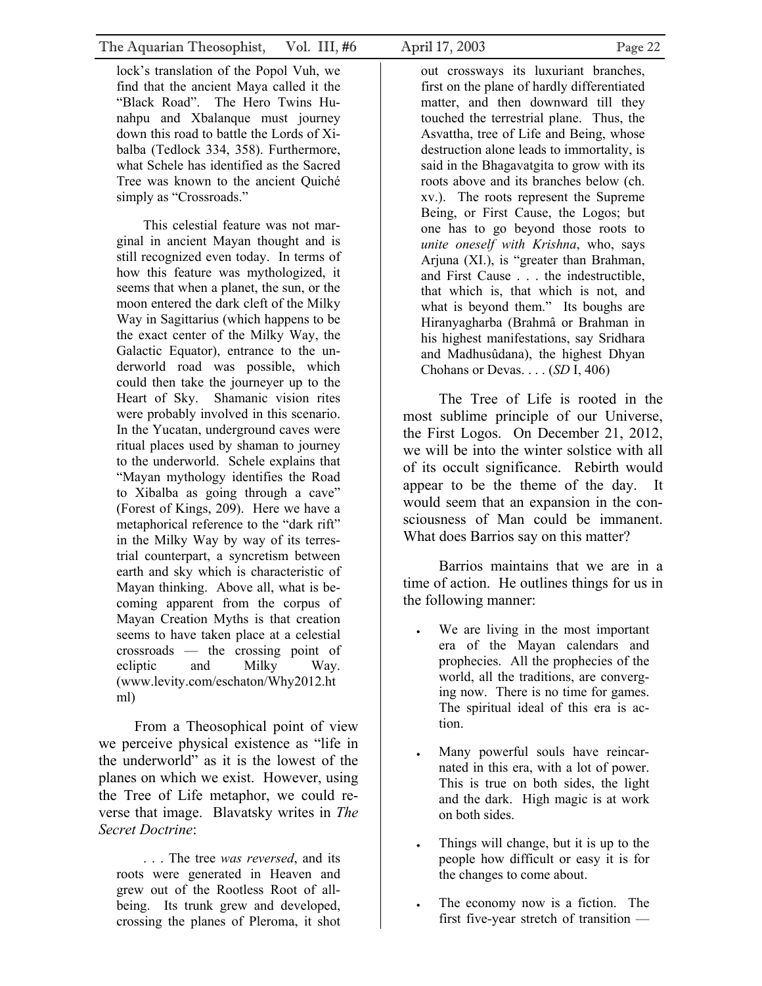lock's translation of the Popol Vuh, we find that the ancient Maya called it the "Black Road". The Hero Twins Hunahpu and Xbalanque must journey down this road to battle the Lords of Xibalba (Tedlock 334, 358). Furthermore, what Schele has identified as the Sacred Tree was known to the ancient Quiché simply as "Crossroads."

This celestial feature was not marginal in ancient Mayan thought and is still recognized even today. In terms of how this feature was mythologized, it seems that when a planet, the sun, or the moon entered the dark cleft of the Milky Way in Sagittarius (which happens to be the exact center of the Milky Way, the Galactic Equator), entrance to the underworld road was possible, which could then take the journeyer up to the Heart of Sky. Shamanic vision rites were probably involved in this scenario. In the Yucatan, underground caves were ritual places used by shaman to journey to the underworld. Schele explains that "Mayan mythology identifies the Road to Xibalba as going through a cave" (Forest of Kings, 209). Here we have a metaphorical reference to the "dark rift" in the Milky Way by way of its terrestrial counterpart, a syncretism between earth and sky which is characteristic of Mayan thinking. Above all, what is becoming apparent from the corpus of Mayan Creation Myths is that creation seems to have taken place at a celestial crossroads — the crossing point of ecliptic and Milky Way. (www.levity.com/eschaton/Why2012.ht ml)

From a Theosophical point of view we perceive physical existence as "life in the underworld" as it is the lowest of the planes on which we exist. However, using the Tree of Life metaphor, we could reverse that image. Blavatsky writes in *The Secret Doctrine*:

. . . The tree *was reversed*, and its roots were generated in Heaven and grew out of the Rootless Root of allbeing. Its trunk grew and developed, crossing the planes of Pleroma, it shot

out crossways its luxuriant branches, first on the plane of hardly differentiated matter, and then downward till they touched the terrestrial plane. Thus, the Asvattha, tree of Life and Being, whose destruction alone leads to immortality, is said in the Bhagavatgita to grow with its roots above and its branches below (ch. xv.). The roots represent the Supreme Being, or First Cause, the Logos; but one has to go beyond those roots to *unite oneself with Krishna*, who, says Arjuna (XI.), is "greater than Brahman, and First Cause . . . the indestructible, that which is, that which is not, and what is beyond them." Its boughs are Hiranyagharba (Brahmâ or Brahman in his highest manifestations, say Sridhara and Madhusûdana), the highest Dhyan Chohans or Devas. . . . (*SD* I, 406)

The Tree of Life is rooted in the most sublime principle of our Universe, the First Logos. On December 21, 2012, we will be into the winter solstice with all of its occult significance. Rebirth would appear to be the theme of the day. It would seem that an expansion in the consciousness of Man could be immanent. What does Barrios say on this matter?

Barrios maintains that we are in a time of action. He outlines things for us in the following manner:

- We are living in the most important era of the Mayan calendars and prophecies. All the prophecies of the world, all the traditions, are converging now. There is no time for games. The spiritual ideal of this era is action.
- Many powerful souls have reincarnated in this era, with a lot of power. This is true on both sides, the light and the dark. High magic is at work on both sides.
- Things will change, but it is up to the people how difficult or easy it is for the changes to come about.
- The economy now is a fiction. The first five-year stretch of transition —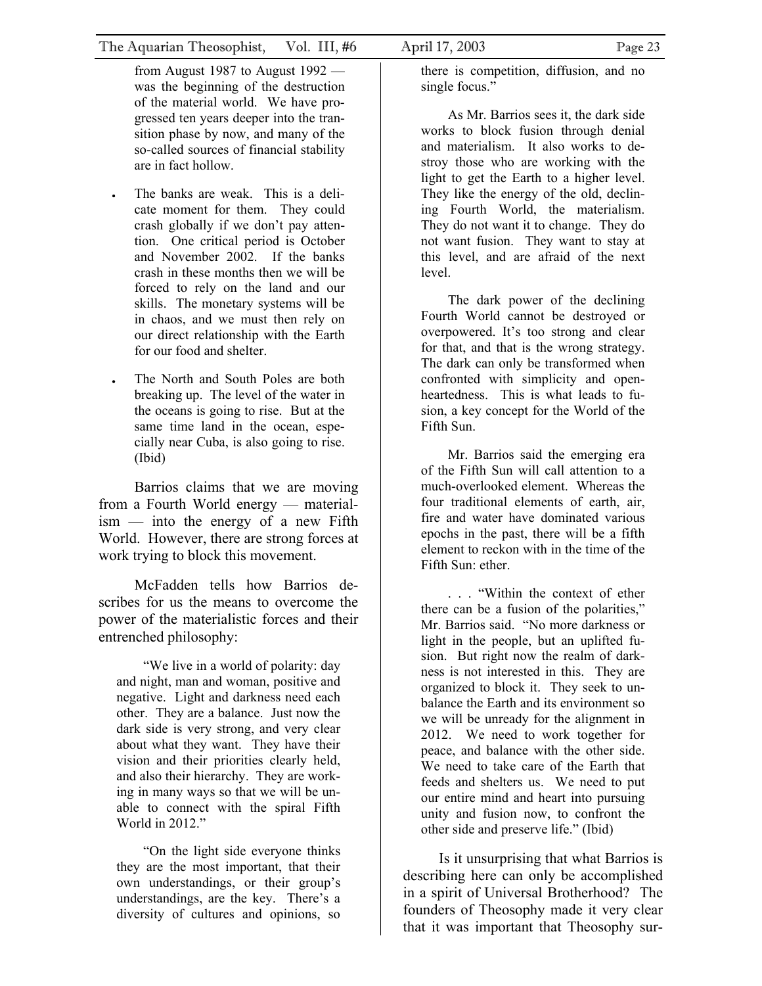from August 1987 to August 1992 was the beginning of the destruction of the material world. We have progressed ten years deeper into the transition phase by now, and many of the so-called sources of financial stability are in fact hollow.

- The banks are weak. This is a delicate moment for them. They could crash globally if we don't pay attention. One critical period is October and November 2002. If the banks crash in these months then we will be forced to rely on the land and our skills. The monetary systems will be in chaos, and we must then rely on our direct relationship with the Earth for our food and shelter.
- The North and South Poles are both breaking up. The level of the water in the oceans is going to rise. But at the same time land in the ocean, especially near Cuba, is also going to rise. (Ibid)

Barrios claims that we are moving from a Fourth World energy — materialism — into the energy of a new Fifth World. However, there are strong forces at work trying to block this movement.

McFadden tells how Barrios describes for us the means to overcome the power of the materialistic forces and their entrenched philosophy:

"We live in a world of polarity: day and night, man and woman, positive and negative. Light and darkness need each other. They are a balance. Just now the dark side is very strong, and very clear about what they want. They have their vision and their priorities clearly held, and also their hierarchy. They are working in many ways so that we will be unable to connect with the spiral Fifth World in 2012."

"On the light side everyone thinks they are the most important, that their own understandings, or their group's understandings, are the key. There's a diversity of cultures and opinions, so there is competition, diffusion, and no single focus."

As Mr. Barrios sees it, the dark side works to block fusion through denial and materialism. It also works to destroy those who are working with the light to get the Earth to a higher level. They like the energy of the old, declining Fourth World, the materialism. They do not want it to change. They do not want fusion. They want to stay at this level, and are afraid of the next level.

The dark power of the declining Fourth World cannot be destroyed or overpowered. It's too strong and clear for that, and that is the wrong strategy. The dark can only be transformed when confronted with simplicity and openheartedness. This is what leads to fusion, a key concept for the World of the Fifth Sun.

Mr. Barrios said the emerging era of the Fifth Sun will call attention to a much-overlooked element. Whereas the four traditional elements of earth, air, fire and water have dominated various epochs in the past, there will be a fifth element to reckon with in the time of the Fifth Sun: ether.

. . . "Within the context of ether there can be a fusion of the polarities," Mr. Barrios said. "No more darkness or light in the people, but an uplifted fusion. But right now the realm of darkness is not interested in this. They are organized to block it. They seek to unbalance the Earth and its environment so we will be unready for the alignment in 2012. We need to work together for peace, and balance with the other side. We need to take care of the Earth that feeds and shelters us. We need to put our entire mind and heart into pursuing unity and fusion now, to confront the other side and preserve life." (Ibid)

Is it unsurprising that what Barrios is describing here can only be accomplished in a spirit of Universal Brotherhood? The founders of Theosophy made it very clear that it was important that Theosophy sur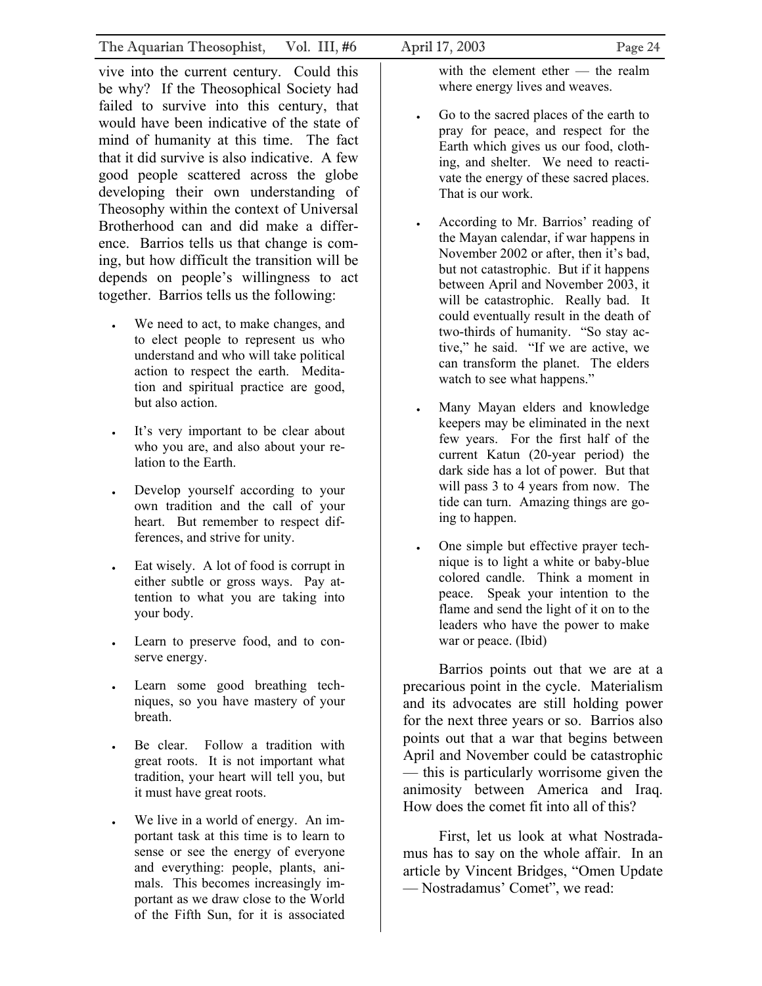vive into the current century. Could this be why? If the Theosophical Society had failed to survive into this century, that would have been indicative of the state of mind of humanity at this time. The fact that it did survive is also indicative. A few good people scattered across the globe developing their own understanding of Theosophy within the context of Universal Brotherhood can and did make a difference. Barrios tells us that change is coming, but how difficult the transition will be depends on people's willingness to act together. Barrios tells us the following:

- We need to act, to make changes, and to elect people to represent us who understand and who will take political action to respect the earth. Meditation and spiritual practice are good, but also action.
- It's very important to be clear about who you are, and also about your relation to the Earth.
- Develop yourself according to your own tradition and the call of your heart. But remember to respect differences, and strive for unity.
- Eat wisely. A lot of food is corrupt in either subtle or gross ways. Pay attention to what you are taking into your body.
- Learn to preserve food, and to conserve energy.
- Learn some good breathing techniques, so you have mastery of your breath.
- Be clear. Follow a tradition with great roots. It is not important what tradition, your heart will tell you, but it must have great roots.
- We live in a world of energy. An important task at this time is to learn to sense or see the energy of everyone and everything: people, plants, animals. This becomes increasingly important as we draw close to the World of the Fifth Sun, for it is associated

with the element ether — the realm where energy lives and weaves.

- Go to the sacred places of the earth to pray for peace, and respect for the Earth which gives us our food, clothing, and shelter. We need to reactivate the energy of these sacred places. That is our work.
- According to Mr. Barrios' reading of the Mayan calendar, if war happens in November 2002 or after, then it's bad, but not catastrophic. But if it happens between April and November 2003, it will be catastrophic. Really bad. It could eventually result in the death of two-thirds of humanity. "So stay active," he said. "If we are active, we can transform the planet. The elders watch to see what happens."
- Many Mayan elders and knowledge keepers may be eliminated in the next few years. For the first half of the current Katun (20-year period) the dark side has a lot of power. But that will pass 3 to 4 years from now. The tide can turn. Amazing things are going to happen.
- One simple but effective prayer technique is to light a white or baby-blue colored candle. Think a moment in peace. Speak your intention to the flame and send the light of it on to the leaders who have the power to make war or peace. (Ibid)

Barrios points out that we are at a precarious point in the cycle. Materialism and its advocates are still holding power for the next three years or so. Barrios also points out that a war that begins between April and November could be catastrophic — this is particularly worrisome given the animosity between America and Iraq. How does the comet fit into all of this?

First, let us look at what Nostradamus has to say on the whole affair. In an article by Vincent Bridges, "Omen Update — Nostradamus' Comet", we read: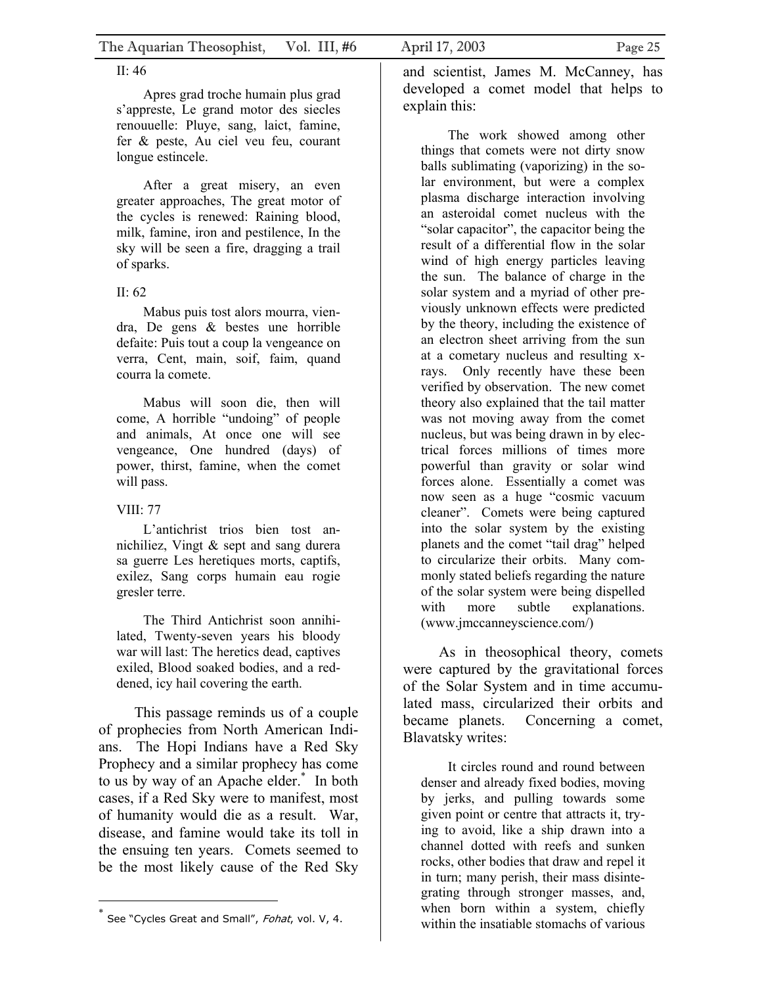### II: 46

Apres grad troche humain plus grad s'appreste, Le grand motor des siecles renouuelle: Pluye, sang, laict, famine, fer & peste, Au ciel veu feu, courant longue estincele.

After a great misery, an even greater approaches, The great motor of the cycles is renewed: Raining blood, milk, famine, iron and pestilence, In the sky will be seen a fire, dragging a trail of sparks.

### II: 62

Mabus puis tost alors mourra, viendra, De gens & bestes une horrible defaite: Puis tout a coup la vengeance on verra, Cent, main, soif, faim, quand courra la comete.

Mabus will soon die, then will come, A horrible "undoing" of people and animals, At once one will see vengeance, One hundred (days) of power, thirst, famine, when the comet will pass.

### VIII: 77

L'antichrist trios bien tost annichiliez, Vingt & sept and sang durera sa guerre Les heretiques morts, captifs, exilez, Sang corps humain eau rogie gresler terre.

The Third Antichrist soon annihilated, Twenty-seven years his bloody war will last: The heretics dead, captives exiled, Blood soaked bodies, and a reddened, icy hail covering the earth.

This passage reminds us of a couple of prophecies from North American Indians. The Hopi Indians have a Red Sky Prophecy and a similar prophecy has come to us by way of an Apache elder.[\\*](#page-24-0) In both cases, if a Red Sky were to manifest, most of humanity would die as a result. War, disease, and famine would take its toll in the ensuing ten years. Comets seemed to be the most likely cause of the Red Sky

and scientist, James M. McCanney, has developed a comet model that helps to explain this:

The work showed among other things that comets were not dirty snow balls sublimating (vaporizing) in the solar environment, but were a complex plasma discharge interaction involving an asteroidal comet nucleus with the "solar capacitor", the capacitor being the result of a differential flow in the solar wind of high energy particles leaving the sun. The balance of charge in the solar system and a myriad of other previously unknown effects were predicted by the theory, including the existence of an electron sheet arriving from the sun at a cometary nucleus and resulting xrays. Only recently have these been verified by observation. The new comet theory also explained that the tail matter was not moving away from the comet nucleus, but was being drawn in by electrical forces millions of times more powerful than gravity or solar wind forces alone. Essentially a comet was now seen as a huge "cosmic vacuum cleaner". Comets were being captured into the solar system by the existing planets and the comet "tail drag" helped to circularize their orbits. Many commonly stated beliefs regarding the nature of the solar system were being dispelled with more subtle explanations. (www.jmccanneyscience.com/)

As in theosophical theory, comets were captured by the gravitational forces of the Solar System and in time accumulated mass, circularized their orbits and became planets. Concerning a comet, Blavatsky writes:

It circles round and round between denser and already fixed bodies, moving by jerks, and pulling towards some given point or centre that attracts it, trying to avoid, like a ship drawn into a channel dotted with reefs and sunken rocks, other bodies that draw and repel it in turn; many perish, their mass disintegrating through stronger masses, and, when born within a system, chiefly within the insatiable stomachs of various

<span id="page-24-0"></span>See "Cycles Great and Small", Fohat, vol. V, 4.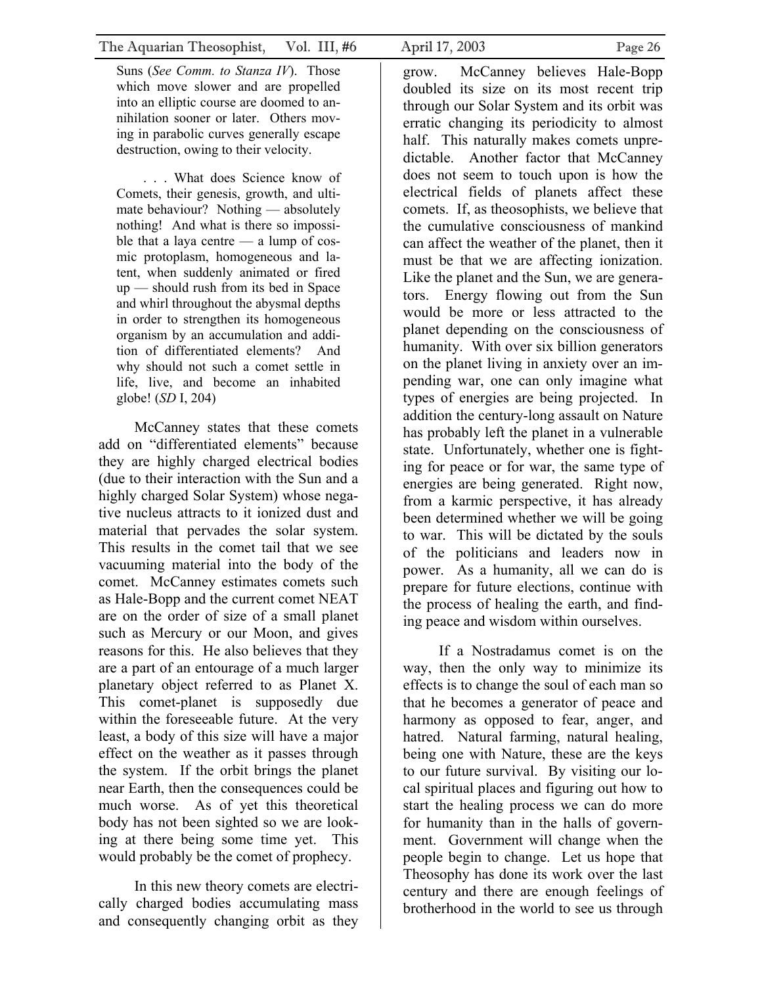Suns (*See Comm. to Stanza IV*). Those which move slower and are propelled into an elliptic course are doomed to annihilation sooner or later. Others moving in parabolic curves generally escape destruction, owing to their velocity.

. . . What does Science know of Comets, their genesis, growth, and ultimate behaviour? Nothing — absolutely nothing! And what is there so impossible that a laya centre — a lump of cosmic protoplasm, homogeneous and latent, when suddenly animated or fired up — should rush from its bed in Space and whirl throughout the abysmal depths in order to strengthen its homogeneous organism by an accumulation and addition of differentiated elements? And why should not such a comet settle in life, live, and become an inhabited globe! (*SD* I, 204)

McCanney states that these comets add on "differentiated elements" because they are highly charged electrical bodies (due to their interaction with the Sun and a highly charged Solar System) whose negative nucleus attracts to it ionized dust and material that pervades the solar system. This results in the comet tail that we see vacuuming material into the body of the comet. McCanney estimates comets such as Hale-Bopp and the current comet NEAT are on the order of size of a small planet such as Mercury or our Moon, and gives reasons for this. He also believes that they are a part of an entourage of a much larger planetary object referred to as Planet X. This comet-planet is supposedly due within the foreseeable future. At the very least, a body of this size will have a major effect on the weather as it passes through the system. If the orbit brings the planet near Earth, then the consequences could be much worse. As of yet this theoretical body has not been sighted so we are looking at there being some time yet. This would probably be the comet of prophecy.

In this new theory comets are electrically charged bodies accumulating mass and consequently changing orbit as they grow. McCanney believes Hale-Bopp doubled its size on its most recent trip through our Solar System and its orbit was erratic changing its periodicity to almost half. This naturally makes comets unpredictable. Another factor that McCanney does not seem to touch upon is how the electrical fields of planets affect these comets. If, as theosophists, we believe that the cumulative consciousness of mankind can affect the weather of the planet, then it must be that we are affecting ionization. Like the planet and the Sun, we are generators. Energy flowing out from the Sun would be more or less attracted to the planet depending on the consciousness of humanity. With over six billion generators on the planet living in anxiety over an impending war, one can only imagine what types of energies are being projected. In addition the century-long assault on Nature has probably left the planet in a vulnerable state. Unfortunately, whether one is fighting for peace or for war, the same type of energies are being generated. Right now, from a karmic perspective, it has already been determined whether we will be going to war. This will be dictated by the souls of the politicians and leaders now in power. As a humanity, all we can do is prepare for future elections, continue with the process of healing the earth, and finding peace and wisdom within ourselves.

If a Nostradamus comet is on the way, then the only way to minimize its effects is to change the soul of each man so that he becomes a generator of peace and harmony as opposed to fear, anger, and hatred. Natural farming, natural healing, being one with Nature, these are the keys to our future survival. By visiting our local spiritual places and figuring out how to start the healing process we can do more for humanity than in the halls of government. Government will change when the people begin to change. Let us hope that Theosophy has done its work over the last century and there are enough feelings of brotherhood in the world to see us through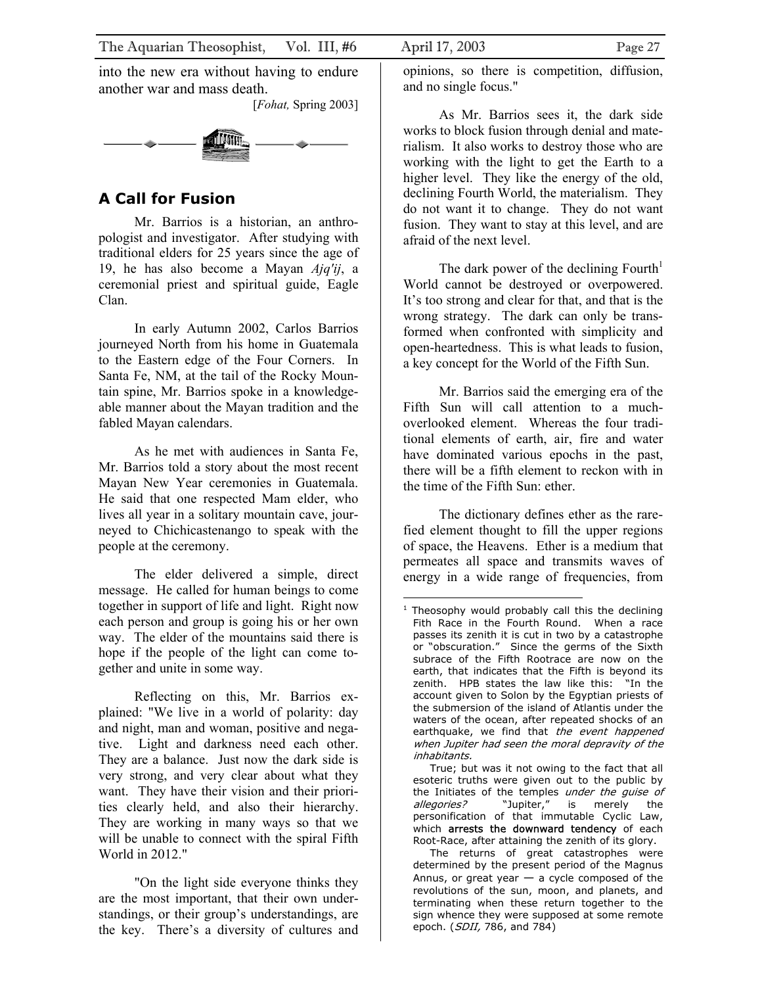<span id="page-26-0"></span>into the new era without having to endure another war and mass death.

[*Fohat,* Spring 2003]



## **A Call for Fusion**

Mr. Barrios is a historian, an anthropologist and investigator. After studying with traditional elders for 25 years since the age of 19, he has also become a Mayan *Ajq'ij*, a ceremonial priest and spiritual guide, Eagle Clan.

In early Autumn 2002, Carlos Barrios journeyed North from his home in Guatemala to the Eastern edge of the Four Corners. In Santa Fe, NM, at the tail of the Rocky Mountain spine, Mr. Barrios spoke in a knowledgeable manner about the Mayan tradition and the fabled Mayan calendars.

As he met with audiences in Santa Fe, Mr. Barrios told a story about the most recent Mayan New Year ceremonies in Guatemala. He said that one respected Mam elder, who lives all year in a solitary mountain cave, journeyed to Chichicastenango to speak with the people at the ceremony.

The elder delivered a simple, direct message. He called for human beings to come together in support of life and light. Right now each person and group is going his or her own way. The elder of the mountains said there is hope if the people of the light can come together and unite in some way.

Reflecting on this, Mr. Barrios explained: "We live in a world of polarity: day and night, man and woman, positive and negative. Light and darkness need each other. They are a balance. Just now the dark side is very strong, and very clear about what they want. They have their vision and their priorities clearly held, and also their hierarchy. They are working in many ways so that we will be unable to connect with the spiral Fifth World in 2012."

"On the light side everyone thinks they are the most important, that their own understandings, or their group's understandings, are the key. There's a diversity of cultures and opinions, so there is competition, diffusion, and no single focus."

As Mr. Barrios sees it, the dark side works to block fusion through denial and materialism. It also works to destroy those who are working with the light to get the Earth to a higher level. They like the energy of the old, declining Fourth World, the materialism. They do not want it to change. They do not want fusion. They want to stay at this level, and are afraid of the next level.

The dark power of the declining Fourth<sup>1</sup> World cannot be destroyed or overpowered. It's too strong and clear for that, and that is the wrong strategy. The dark can only be transformed when confronted with simplicity and open-heartedness. This is what leads to fusion, a key concept for the World of the Fifth Sun.

Mr. Barrios said the emerging era of the Fifth Sun will call attention to a muchoverlooked element. Whereas the four traditional elements of earth, air, fire and water have dominated various epochs in the past, there will be a fifth element to reckon with in the time of the Fifth Sun: ether.

The dictionary defines ether as the rarefied element thought to fill the upper regions of space, the Heavens. Ether is a medium that permeates all space and transmits waves of energy in a wide range of frequencies, from

 True; but was it not owing to the fact that all esoteric truths were given out to the public by the Initiates of the temples under the guise of allegories? "Jupiter," is merely the personification of that immutable Cyclic Law, which arrests the downward tendency of each Root-Race, after attaining the zenith of its glory.

The returns of great catastrophes were determined by the present period of the Magnus Annus, or great year  $-$  a cycle composed of the revolutions of the sun, moon, and planets, and terminating when these return together to the sign whence they were supposed at some remote epoch. (SDII, 786, and 784)

<span id="page-26-1"></span><sup>1</sup> Theosophy would probably call this the declining . inhabitants Fith Race in the Fourth Round. When a race passes its zenith it is cut in two by a catastrophe or "obscuration." Since the germs of the Sixth subrace of the Fifth Rootrace are now on the earth, that indicates that the Fifth is beyond its zenith. HPB states the law like this: "In the account given to Solon by the Egyptian priests of the submersion of the island of Atlantis under the waters of the ocean, after repeated shocks of an earthquake, we find that the event happened when Jupiter had seen the moral depravity of the